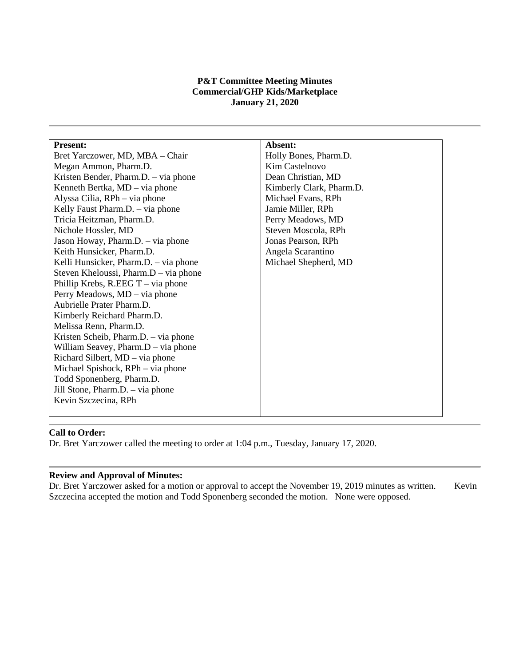### **P&T Committee Meeting Minutes Commercial/GHP Kids/Marketplace January 21, 2020**

| <b>Present:</b>                       | Absent:                  |
|---------------------------------------|--------------------------|
| Bret Yarczower, MD, MBA - Chair       | Holly Bones, Pharm.D.    |
| Megan Ammon, Pharm.D.                 | Kim Castelnovo           |
| Kristen Bender, Pharm.D. – via phone  | Dean Christian, MD       |
| Kenneth Bertka, MD – via phone        | Kimberly Clark, Pharm.D. |
| Alyssa Cilia, RPh - via phone         | Michael Evans, RPh       |
| Kelly Faust Pharm.D. - via phone      | Jamie Miller, RPh        |
| Tricia Heitzman, Pharm.D.             | Perry Meadows, MD        |
| Nichole Hossler, MD                   | Steven Moscola, RPh      |
| Jason Howay, Pharm.D. - via phone     | Jonas Pearson, RPh       |
| Keith Hunsicker, Pharm.D.             | Angela Scarantino        |
| Kelli Hunsicker, Pharm.D. - via phone | Michael Shepherd, MD     |
| Steven Kheloussi, Pharm.D – via phone |                          |
| Phillip Krebs, R.EEG $T - via$ phone  |                          |
| Perry Meadows, MD - via phone         |                          |
| Aubrielle Prater Pharm.D.             |                          |
| Kimberly Reichard Pharm.D.            |                          |
| Melissa Renn, Pharm.D.                |                          |
| Kristen Scheib, Pharm.D. – via phone  |                          |
| William Seavey, Pharm.D - via phone   |                          |
| Richard Silbert, MD – via phone       |                          |
| Michael Spishock, RPh – via phone     |                          |
| Todd Sponenberg, Pharm.D.             |                          |
| Jill Stone, Pharm.D. – via phone      |                          |
| Kevin Szczecina, RPh                  |                          |
|                                       |                          |

# **Call to Order:**

Dr. Bret Yarczower called the meeting to order at 1:04 p.m., Tuesday, January 17, 2020.

#### **Review and Approval of Minutes:**

Dr. Bret Yarczower asked for a motion or approval to accept the November 19, 2019 minutes as written. Kevin Szczecina accepted the motion and Todd Sponenberg seconded the motion. None were opposed.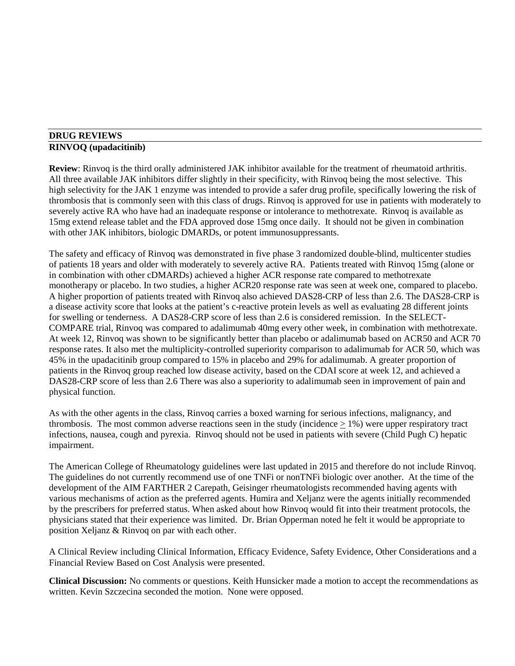#### **DRUG REVIEWS RINVOQ (upadacitinib)**

**Review**: Rinvoq is the third orally administered JAK inhibitor available for the treatment of rheumatoid arthritis. All three available JAK inhibitors differ slightly in their specificity, with Rinvoq being the most selective. This high selectivity for the JAK 1 enzyme was intended to provide a safer drug profile, specifically lowering the risk of thrombosis that is commonly seen with this class of drugs. Rinvoq is approved for use in patients with moderately to severely active RA who have had an inadequate response or intolerance to methotrexate. Rinvoq is available as 15mg extend release tablet and the FDA approved dose 15mg once daily. It should not be given in combination with other JAK inhibitors, biologic DMARDs, or potent immunosuppressants.

The safety and efficacy of Rinvoq was demonstrated in five phase 3 randomized double-blind, multicenter studies of patients 18 years and older with moderately to severely active RA. Patients treated with Rinvoq 15mg (alone or in combination with other cDMARDs) achieved a higher ACR response rate compared to methotrexate monotherapy or placebo. In two studies, a higher ACR20 response rate was seen at week one, compared to placebo. A higher proportion of patients treated with Rinvoq also achieved DAS28-CRP of less than 2.6. The DAS28-CRP is a disease activity score that looks at the patient's c-reactive protein levels as well as evaluating 28 different joints for swelling or tenderness. A DAS28-CRP score of less than 2.6 is considered remission. In the SELECT-COMPARE trial, Rinvoq was compared to adalimumab 40mg every other week, in combination with methotrexate. At week 12, Rinvoq was shown to be significantly better than placebo or adalimumab based on ACR50 and ACR 70 response rates. It also met the multiplicity-controlled superiority comparison to adalimumab for ACR 50, which was 45% in the upadacitinib group compared to 15% in placebo and 29% for adalimumab. A greater proportion of patients in the Rinvoq group reached low disease activity, based on the CDAI score at week 12, and achieved a DAS28-CRP score of less than 2.6 There was also a superiority to adalimumab seen in improvement of pain and physical function.

As with the other agents in the class, Rinvoq carries a boxed warning for serious infections, malignancy, and thrombosis. The most common adverse reactions seen in the study (incidence  $> 1\%$ ) were upper respiratory tract infections, nausea, cough and pyrexia. Rinvoq should not be used in patients with severe (Child Pugh C) hepatic impairment.

The American College of Rheumatology guidelines were last updated in 2015 and therefore do not include Rinvoq. The guidelines do not currently recommend use of one TNFi or nonTNFi biologic over another. At the time of the development of the AIM FARTHER 2 Carepath, Geisinger rheumatologists recommended having agents with various mechanisms of action as the preferred agents. Humira and Xeljanz were the agents initially recommended by the prescribers for preferred status. When asked about how Rinvoq would fit into their treatment protocols, the physicians stated that their experience was limited. Dr. Brian Opperman noted he felt it would be appropriate to position Xeljanz & Rinvoq on par with each other.

A Clinical Review including Clinical Information, Efficacy Evidence, Safety Evidence, Other Considerations and a Financial Review Based on Cost Analysis were presented.

**Clinical Discussion:** No comments or questions. Keith Hunsicker made a motion to accept the recommendations as written. Kevin Szczecina seconded the motion. None were opposed.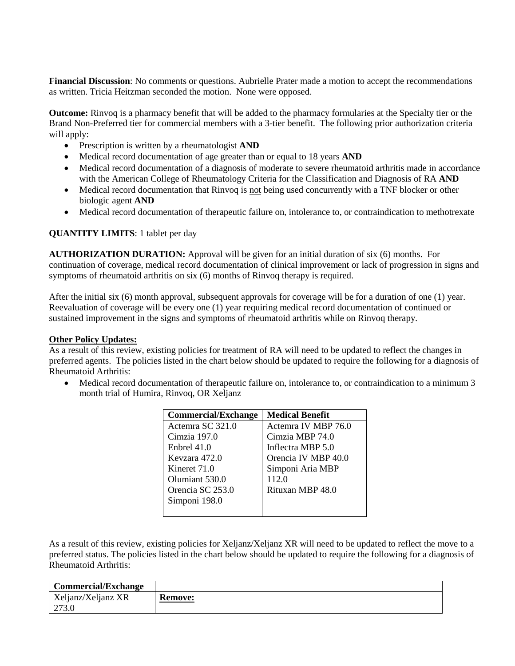**Financial Discussion**: No comments or questions. Aubrielle Prater made a motion to accept the recommendations as written. Tricia Heitzman seconded the motion. None were opposed.

**Outcome:** Rinvoq is a pharmacy benefit that will be added to the pharmacy formularies at the Specialty tier or the Brand Non-Preferred tier for commercial members with a 3-tier benefit. The following prior authorization criteria will apply:

- Prescription is written by a rheumatologist **AND**
- Medical record documentation of age greater than or equal to 18 years **AND**
- Medical record documentation of a diagnosis of moderate to severe rheumatoid arthritis made in accordance with the American College of Rheumatology Criteria for the Classification and Diagnosis of RA **AND**
- Medical record documentation that Rinvoq is not being used concurrently with a TNF blocker or other biologic agent **AND**
- Medical record documentation of therapeutic failure on, intolerance to, or contraindication to methotrexate

# **QUANTITY LIMITS**: 1 tablet per day

**AUTHORIZATION DURATION:** Approval will be given for an initial duration of six (6) months. For continuation of coverage, medical record documentation of clinical improvement or lack of progression in signs and symptoms of rheumatoid arthritis on six (6) months of Rinvoq therapy is required.

After the initial six (6) month approval, subsequent approvals for coverage will be for a duration of one (1) year. Reevaluation of coverage will be every one (1) year requiring medical record documentation of continued or sustained improvement in the signs and symptoms of rheumatoid arthritis while on Rinvoq therapy.

### **Other Policy Updates:**

As a result of this review, existing policies for treatment of RA will need to be updated to reflect the changes in preferred agents. The policies listed in the chart below should be updated to require the following for a diagnosis of Rheumatoid Arthritis:

• Medical record documentation of therapeutic failure on, intolerance to, or contraindication to a minimum 3 month trial of Humira, Rinvoq, OR Xeljanz

| <b>Commercial/Exchange</b> | <b>Medical Benefit</b> |
|----------------------------|------------------------|
| Actemra SC 321.0           | Actemra IV MBP 76.0    |
| Cimzia 197.0               | Cimzia MBP 74.0        |
| Enbrel $41.0$              | Inflectra MBP 5.0      |
| Keyzara 472.0              | Orencia IV MBP 40.0    |
| Kineret 71.0               | Simponi Aria MBP       |
| Olumiant 530.0             | 112.0                  |
| Orencia SC 253.0           | Rituxan MBP 48.0       |
| Simponi 198.0              |                        |
|                            |                        |

As a result of this review, existing policies for Xeljanz/Xeljanz XR will need to be updated to reflect the move to a preferred status. The policies listed in the chart below should be updated to require the following for a diagnosis of Rheumatoid Arthritis:

| Commercial/Exchange |                |
|---------------------|----------------|
| Xeljanz/Xeljanz XR  | <b>Remove:</b> |
| 273.0               |                |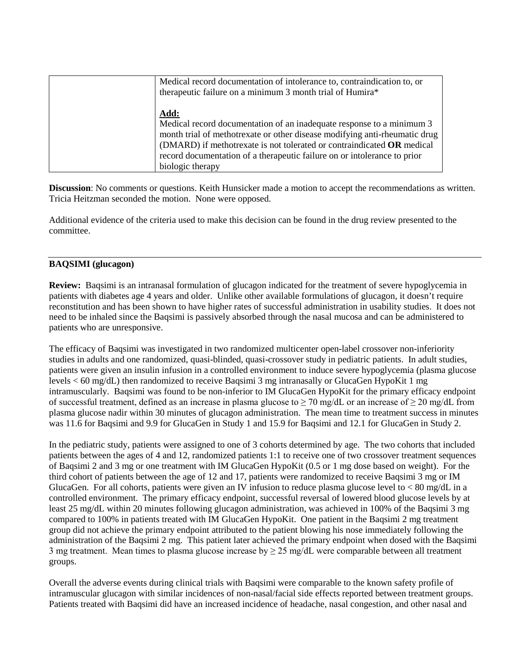| Medical record documentation of intolerance to, contraindication to, or<br>therapeutic failure on a minimum 3 month trial of Humira*                                                                                                                                                                                                  |
|---------------------------------------------------------------------------------------------------------------------------------------------------------------------------------------------------------------------------------------------------------------------------------------------------------------------------------------|
| Add:<br>Medical record documentation of an inadequate response to a minimum 3<br>month trial of methotrexate or other disease modifying anti-rheumatic drug<br>(DMARD) if methotrexate is not tolerated or contraindicated OR medical<br>record documentation of a therapeutic failure on or intolerance to prior<br>biologic therapy |

**Discussion**: No comments or questions. Keith Hunsicker made a motion to accept the recommendations as written. Tricia Heitzman seconded the motion. None were opposed.

Additional evidence of the criteria used to make this decision can be found in the drug review presented to the committee.

# **BAQSIMI (glucagon)**

**Review:** Baqsimi is an intranasal formulation of glucagon indicated for the treatment of severe hypoglycemia in patients with diabetes age 4 years and older. Unlike other available formulations of glucagon, it doesn't require reconstitution and has been shown to have higher rates of successful administration in usability studies. It does not need to be inhaled since the Baqsimi is passively absorbed through the nasal mucosa and can be administered to patients who are unresponsive.

The efficacy of Baqsimi was investigated in two randomized multicenter open-label crossover non-inferiority studies in adults and one randomized, quasi-blinded, quasi-crossover study in pediatric patients. In adult studies, patients were given an insulin infusion in a controlled environment to induce severe hypoglycemia (plasma glucose levels < 60 mg/dL) then randomized to receive Baqsimi 3 mg intranasally or GlucaGen HypoKit 1 mg intramuscularly. Baqsimi was found to be non-inferior to IM GlucaGen HypoKit for the primary efficacy endpoint of successful treatment, defined as an increase in plasma glucose to  $\geq$  70 mg/dL or an increase of  $\geq$  20 mg/dL from plasma glucose nadir within 30 minutes of glucagon administration. The mean time to treatment success in minutes was 11.6 for Baqsimi and 9.9 for GlucaGen in Study 1 and 15.9 for Baqsimi and 12.1 for GlucaGen in Study 2.

In the pediatric study, patients were assigned to one of 3 cohorts determined by age. The two cohorts that included patients between the ages of 4 and 12, randomized patients 1:1 to receive one of two crossover treatment sequences of Baqsimi 2 and 3 mg or one treatment with IM GlucaGen HypoKit (0.5 or 1 mg dose based on weight). For the third cohort of patients between the age of 12 and 17, patients were randomized to receive Baqsimi 3 mg or IM GlucaGen. For all cohorts, patients were given an IV infusion to reduce plasma glucose level to < 80 mg/dL in a controlled environment. The primary efficacy endpoint, successful reversal of lowered blood glucose levels by at least 25 mg/dL within 20 minutes following glucagon administration, was achieved in 100% of the Baqsimi 3 mg compared to 100% in patients treated with IM GlucaGen HypoKit. One patient in the Baqsimi 2 mg treatment group did not achieve the primary endpoint attributed to the patient blowing his nose immediately following the administration of the Baqsimi 2 mg. This patient later achieved the primary endpoint when dosed with the Baqsimi 3 mg treatment. Mean times to plasma glucose increase by  $\geq$  25 mg/dL were comparable between all treatment groups.

Overall the adverse events during clinical trials with Baqsimi were comparable to the known safety profile of intramuscular glucagon with similar incidences of non-nasal/facial side effects reported between treatment groups. Patients treated with Baqsimi did have an increased incidence of headache, nasal congestion, and other nasal and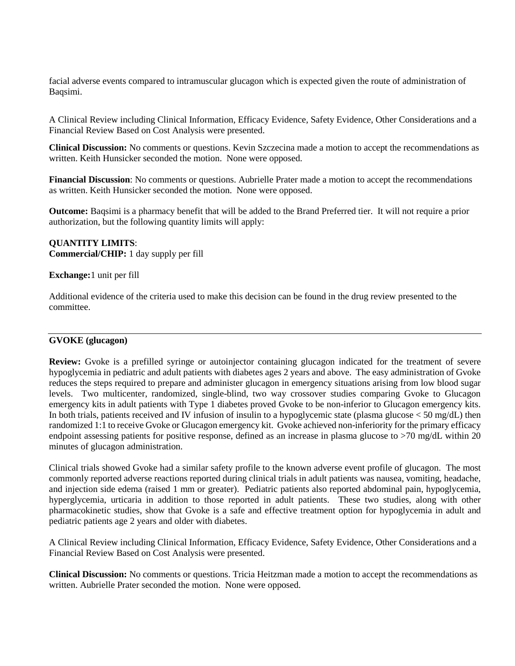facial adverse events compared to intramuscular glucagon which is expected given the route of administration of Baqsimi.

A Clinical Review including Clinical Information, Efficacy Evidence, Safety Evidence, Other Considerations and a Financial Review Based on Cost Analysis were presented.

**Clinical Discussion:** No comments or questions. Kevin Szczecina made a motion to accept the recommendations as written. Keith Hunsicker seconded the motion. None were opposed.

**Financial Discussion**: No comments or questions. Aubrielle Prater made a motion to accept the recommendations as written. Keith Hunsicker seconded the motion. None were opposed.

**Outcome:** Baqsimi is a pharmacy benefit that will be added to the Brand Preferred tier. It will not require a prior authorization, but the following quantity limits will apply:

#### **QUANTITY LIMITS**: **Commercial/CHIP:** 1 day supply per fill

### **Exchange:**1 unit per fill

Additional evidence of the criteria used to make this decision can be found in the drug review presented to the committee.

### **GVOKE (glucagon)**

**Review:** Gvoke is a prefilled syringe or autoinjector containing glucagon indicated for the treatment of severe hypoglycemia in pediatric and adult patients with diabetes ages 2 years and above. The easy administration of Gvoke reduces the steps required to prepare and administer glucagon in emergency situations arising from low blood sugar levels. Two multicenter, randomized, single-blind, two way crossover studies comparing Gvoke to Glucagon emergency kits in adult patients with Type 1 diabetes proved Gvoke to be non-inferior to Glucagon emergency kits. In both trials, patients received and IV infusion of insulin to a hypoglycemic state (plasma glucose < 50 mg/dL) then randomized 1:1 to receive Gvoke or Glucagon emergency kit. Gvoke achieved non-inferiority for the primary efficacy endpoint assessing patients for positive response, defined as an increase in plasma glucose to >70 mg/dL within 20 minutes of glucagon administration.

Clinical trials showed Gvoke had a similar safety profile to the known adverse event profile of glucagon. The most commonly reported adverse reactions reported during clinical trials in adult patients was nausea, vomiting, headache, and injection side edema (raised 1 mm or greater). Pediatric patients also reported abdominal pain, hypoglycemia, hyperglycemia, urticaria in addition to those reported in adult patients. These two studies, along with other pharmacokinetic studies, show that Gvoke is a safe and effective treatment option for hypoglycemia in adult and pediatric patients age 2 years and older with diabetes.

A Clinical Review including Clinical Information, Efficacy Evidence, Safety Evidence, Other Considerations and a Financial Review Based on Cost Analysis were presented.

**Clinical Discussion:** No comments or questions. Tricia Heitzman made a motion to accept the recommendations as written. Aubrielle Prater seconded the motion. None were opposed.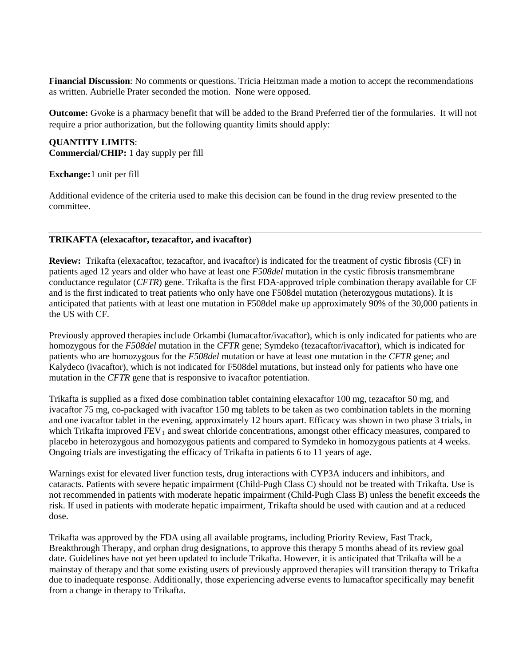**Financial Discussion**: No comments or questions. Tricia Heitzman made a motion to accept the recommendations as written. Aubrielle Prater seconded the motion. None were opposed.

**Outcome:** Gvoke is a pharmacy benefit that will be added to the Brand Preferred tier of the formularies. It will not require a prior authorization, but the following quantity limits should apply:

# **QUANTITY LIMITS**: **Commercial/CHIP:** 1 day supply per fill

#### **Exchange:**1 unit per fill

Additional evidence of the criteria used to make this decision can be found in the drug review presented to the committee.

#### **TRIKAFTA (elexacaftor, tezacaftor, and ivacaftor)**

**Review:** Trikafta (elexacaftor, tezacaftor, and ivacaftor) is indicated for the treatment of cystic fibrosis (CF) in patients aged 12 years and older who have at least one *F508del* mutation in the cystic fibrosis transmembrane conductance regulator (*CFTR*) gene. Trikafta is the first FDA-approved triple combination therapy available for CF and is the first indicated to treat patients who only have one F508del mutation (heterozygous mutations). It is anticipated that patients with at least one mutation in F508del make up approximately 90% of the 30,000 patients in the US with CF.

Previously approved therapies include Orkambi (lumacaftor/ivacaftor), which is only indicated for patients who are homozygous for the *F508del* mutation in the *CFTR* gene; Symdeko (tezacaftor/ivacaftor), which is indicated for patients who are homozygous for the *F508del* mutation or have at least one mutation in the *CFTR* gene; and Kalydeco (ivacaftor), which is not indicated for F508del mutations, but instead only for patients who have one mutation in the *CFTR* gene that is responsive to ivacaftor potentiation.

Trikafta is supplied as a fixed dose combination tablet containing elexacaftor 100 mg, tezacaftor 50 mg, and ivacaftor 75 mg, co-packaged with ivacaftor 150 mg tablets to be taken as two combination tablets in the morning and one ivacaftor tablet in the evening, approximately 12 hours apart. Efficacy was shown in two phase 3 trials, in which Trikafta improved  $FEV<sub>1</sub>$  and sweat chloride concentrations, amongst other efficacy measures, compared to placebo in heterozygous and homozygous patients and compared to Symdeko in homozygous patients at 4 weeks. Ongoing trials are investigating the efficacy of Trikafta in patients 6 to 11 years of age.

Warnings exist for elevated liver function tests, drug interactions with CYP3A inducers and inhibitors, and cataracts. Patients with severe hepatic impairment (Child-Pugh Class C) should not be treated with Trikafta. Use is not recommended in patients with moderate hepatic impairment (Child-Pugh Class B) unless the benefit exceeds the risk. If used in patients with moderate hepatic impairment, Trikafta should be used with caution and at a reduced dose.

Trikafta was approved by the FDA using all available programs, including Priority Review, Fast Track, Breakthrough Therapy, and orphan drug designations, to approve this therapy 5 months ahead of its review goal date. Guidelines have not yet been updated to include Trikafta. However, it is anticipated that Trikafta will be a mainstay of therapy and that some existing users of previously approved therapies will transition therapy to Trikafta due to inadequate response. Additionally, those experiencing adverse events to lumacaftor specifically may benefit from a change in therapy to Trikafta.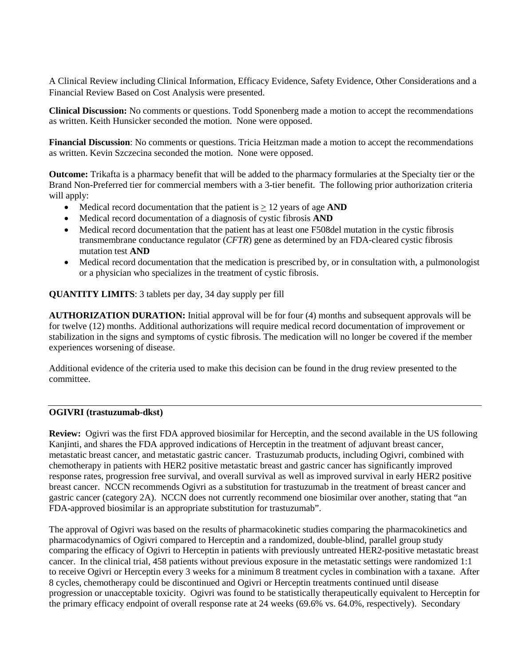A Clinical Review including Clinical Information, Efficacy Evidence, Safety Evidence, Other Considerations and a Financial Review Based on Cost Analysis were presented.

**Clinical Discussion:** No comments or questions. Todd Sponenberg made a motion to accept the recommendations as written. Keith Hunsicker seconded the motion. None were opposed.

**Financial Discussion**: No comments or questions. Tricia Heitzman made a motion to accept the recommendations as written. Kevin Szczecina seconded the motion. None were opposed.

**Outcome:** Trikafta is a pharmacy benefit that will be added to the pharmacy formularies at the Specialty tier or the Brand Non-Preferred tier for commercial members with a 3-tier benefit. The following prior authorization criteria will apply:

- Medical record documentation that the patient is  $\geq 12$  years of age **AND**
- Medical record documentation of a diagnosis of cystic fibrosis **AND**
- Medical record documentation that the patient has at least one F508del mutation in the cystic fibrosis transmembrane conductance regulator (*CFTR*) gene as determined by an FDA-cleared cystic fibrosis mutation test **AND**
- Medical record documentation that the medication is prescribed by, or in consultation with, a pulmonologist or a physician who specializes in the treatment of cystic fibrosis.

**QUANTITY LIMITS**: 3 tablets per day, 34 day supply per fill

**AUTHORIZATION DURATION:** Initial approval will be for four (4) months and subsequent approvals will be for twelve (12) months. Additional authorizations will require medical record documentation of improvement or stabilization in the signs and symptoms of cystic fibrosis. The medication will no longer be covered if the member experiences worsening of disease.

Additional evidence of the criteria used to make this decision can be found in the drug review presented to the committee.

### **OGIVRI (trastuzumab-dkst)**

**Review:** Ogivri was the first FDA approved biosimilar for Herceptin, and the second available in the US following Kanjinti, and shares the FDA approved indications of Herceptin in the treatment of adjuvant breast cancer, metastatic breast cancer, and metastatic gastric cancer. Trastuzumab products, including Ogivri, combined with chemotherapy in patients with HER2 positive metastatic breast and gastric cancer has significantly improved response rates, progression free survival, and overall survival as well as improved survival in early HER2 positive breast cancer. NCCN recommends Ogivri as a substitution for trastuzumab in the treatment of breast cancer and gastric cancer (category 2A). NCCN does not currently recommend one biosimilar over another, stating that "an FDA-approved biosimilar is an appropriate substitution for trastuzumab".

The approval of Ogivri was based on the results of pharmacokinetic studies comparing the pharmacokinetics and pharmacodynamics of Ogivri compared to Herceptin and a randomized, double-blind, parallel group study comparing the efficacy of Ogivri to Herceptin in patients with previously untreated HER2-positive metastatic breast cancer. In the clinical trial, 458 patients without previous exposure in the metastatic settings were randomized 1:1 to receive Ogivri or Herceptin every 3 weeks for a minimum 8 treatment cycles in combination with a taxane. After 8 cycles, chemotherapy could be discontinued and Ogivri or Herceptin treatments continued until disease progression or unacceptable toxicity. Ogivri was found to be statistically therapeutically equivalent to Herceptin for the primary efficacy endpoint of overall response rate at 24 weeks (69.6% vs. 64.0%, respectively). Secondary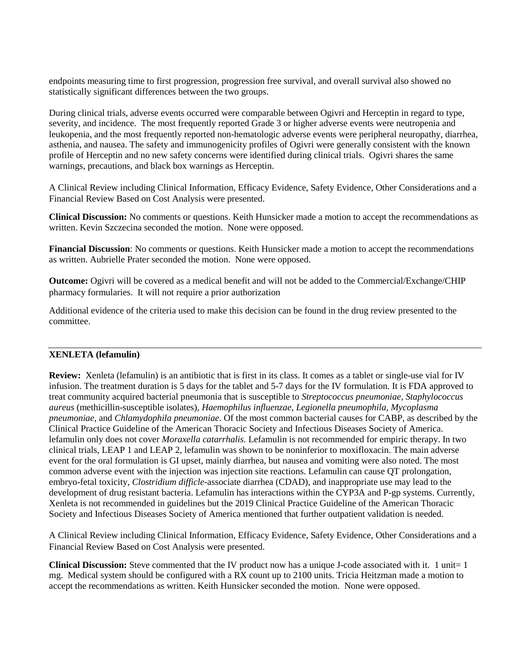endpoints measuring time to first progression, progression free survival, and overall survival also showed no statistically significant differences between the two groups.

During clinical trials, adverse events occurred were comparable between Ogivri and Herceptin in regard to type, severity, and incidence. The most frequently reported Grade 3 or higher adverse events were neutropenia and leukopenia, and the most frequently reported non-hematologic adverse events were peripheral neuropathy, diarrhea, asthenia, and nausea. The safety and immunogenicity profiles of Ogivri were generally consistent with the known profile of Herceptin and no new safety concerns were identified during clinical trials. Ogivri shares the same warnings, precautions, and black box warnings as Herceptin.

A Clinical Review including Clinical Information, Efficacy Evidence, Safety Evidence, Other Considerations and a Financial Review Based on Cost Analysis were presented.

**Clinical Discussion:** No comments or questions. Keith Hunsicker made a motion to accept the recommendations as written. Kevin Szczecina seconded the motion. None were opposed.

**Financial Discussion**: No comments or questions. Keith Hunsicker made a motion to accept the recommendations as written. Aubrielle Prater seconded the motion. None were opposed.

**Outcome:** Ogivri will be covered as a medical benefit and will not be added to the Commercial/Exchange/CHIP pharmacy formularies. It will not require a prior authorization

Additional evidence of the criteria used to make this decision can be found in the drug review presented to the committee.

#### **XENLETA (lefamulin)**

**Review:** Xenleta (lefamulin) is an antibiotic that is first in its class. It comes as a tablet or single-use vial for IV infusion. The treatment duration is 5 days for the tablet and 5-7 days for the IV formulation. It is FDA approved to treat community acquired bacterial pneumonia that is susceptible to *Streptococcus pneumoniae, Staphylococcus aureus* (methicillin-susceptible isolates)*, Haemophilus influenzae, Legionella pneumophila, Mycoplasma pneumoniae,* and *Chlamydophila pneumoniae*. Of the most common bacterial causes for CABP, as described by the Clinical Practice Guideline of the American Thoracic Society and Infectious Diseases Society of America. lefamulin only does not cover *Moraxella catarrhalis.* Lefamulin is not recommended for empiric therapy. In two clinical trials, LEAP 1 and LEAP 2, lefamulin was shown to be noninferior to moxifloxacin. The main adverse event for the oral formulation is GI upset, mainly diarrhea, but nausea and vomiting were also noted. The most common adverse event with the injection was injection site reactions. Lefamulin can cause QT prolongation, embryo-fetal toxicity, *Clostridium difficle*-associate diarrhea (CDAD), and inappropriate use may lead to the development of drug resistant bacteria. Lefamulin has interactions within the CYP3A and P-gp systems. Currently, Xenleta is not recommended in guidelines but the 2019 Clinical Practice Guideline of the American Thoracic Society and Infectious Diseases Society of America mentioned that further outpatient validation is needed.

A Clinical Review including Clinical Information, Efficacy Evidence, Safety Evidence, Other Considerations and a Financial Review Based on Cost Analysis were presented.

**Clinical Discussion:** Steve commented that the IV product now has a unique J-code associated with it. 1 unit= 1 mg. Medical system should be configured with a RX count up to 2100 units. Tricia Heitzman made a motion to accept the recommendations as written. Keith Hunsicker seconded the motion. None were opposed.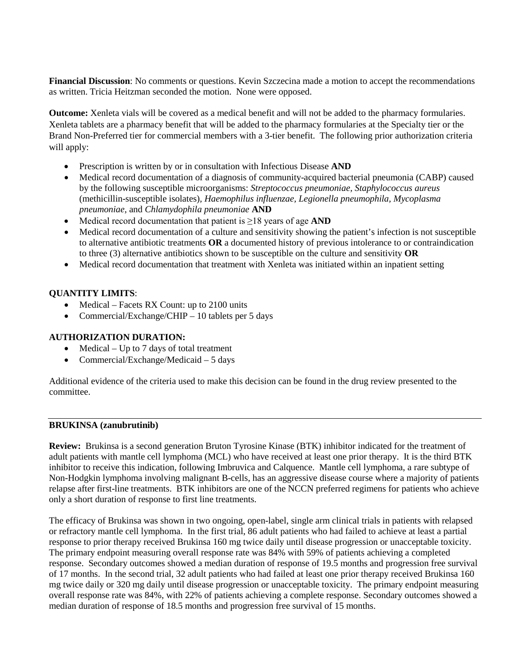**Financial Discussion**: No comments or questions. Kevin Szczecina made a motion to accept the recommendations as written. Tricia Heitzman seconded the motion. None were opposed.

**Outcome:** Xenleta vials will be covered as a medical benefit and will not be added to the pharmacy formularies. Xenleta tablets are a pharmacy benefit that will be added to the pharmacy formularies at the Specialty tier or the Brand Non-Preferred tier for commercial members with a 3-tier benefit. The following prior authorization criteria will apply:

- Prescription is written by or in consultation with Infectious Disease **AND**
- Medical record documentation of a diagnosis of community-acquired bacterial pneumonia (CABP) caused by the following susceptible microorganisms: *Streptococcus pneumoniae, Staphylococcus aureus*  (methicillin-susceptible isolates)*, Haemophilus influenzae, Legionella pneumophila, Mycoplasma pneumoniae,* and *Chlamydophila pneumoniae* **AND**
- Medical record documentation that patient is ≥18 years of age **AND**
- Medical record documentation of a culture and sensitivity showing the patient's infection is not susceptible to alternative antibiotic treatments **OR** a documented history of previous intolerance to or contraindication to three (3) alternative antibiotics shown to be susceptible on the culture and sensitivity **OR**
- Medical record documentation that treatment with Xenleta was initiated within an inpatient setting

# **QUANTITY LIMITS**:

- Medical Facets RX Count: up to 2100 units
- Commercial/Exchange/CHIP 10 tablets per 5 days

## **AUTHORIZATION DURATION:**

- Medical Up to 7 days of total treatment
- Commercial/Exchange/Medicaid 5 days

Additional evidence of the criteria used to make this decision can be found in the drug review presented to the committee.

## **BRUKINSA (zanubrutinib)**

**Review:** Brukinsa is a second generation Bruton Tyrosine Kinase (BTK) inhibitor indicated for the treatment of adult patients with mantle cell lymphoma (MCL) who have received at least one prior therapy. It is the third BTK inhibitor to receive this indication, following Imbruvica and Calquence. Mantle cell lymphoma, a rare subtype of Non-Hodgkin lymphoma involving malignant B-cells, has an aggressive disease course where a majority of patients relapse after first-line treatments. BTK inhibitors are one of the NCCN preferred regimens for patients who achieve only a short duration of response to first line treatments.

The efficacy of Brukinsa was shown in two ongoing, open-label, single arm clinical trials in patients with relapsed or refractory mantle cell lymphoma. In the first trial, 86 adult patients who had failed to achieve at least a partial response to prior therapy received Brukinsa 160 mg twice daily until disease progression or unacceptable toxicity. The primary endpoint measuring overall response rate was 84% with 59% of patients achieving a completed response. Secondary outcomes showed a median duration of response of 19.5 months and progression free survival of 17 months. In the second trial, 32 adult patients who had failed at least one prior therapy received Brukinsa 160 mg twice daily or 320 mg daily until disease progression or unacceptable toxicity. The primary endpoint measuring overall response rate was 84%, with 22% of patients achieving a complete response. Secondary outcomes showed a median duration of response of 18.5 months and progression free survival of 15 months.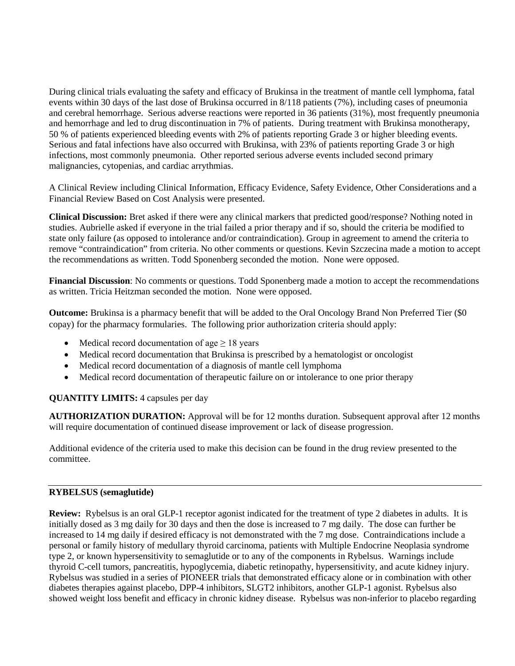During clinical trials evaluating the safety and efficacy of Brukinsa in the treatment of mantle cell lymphoma, fatal events within 30 days of the last dose of Brukinsa occurred in 8/118 patients (7%), including cases of pneumonia and cerebral hemorrhage. Serious adverse reactions were reported in 36 patients (31%), most frequently pneumonia and hemorrhage and led to drug discontinuation in 7% of patients. During treatment with Brukinsa monotherapy, 50 % of patients experienced bleeding events with 2% of patients reporting Grade 3 or higher bleeding events. Serious and fatal infections have also occurred with Brukinsa, with 23% of patients reporting Grade 3 or high infections, most commonly pneumonia. Other reported serious adverse events included second primary malignancies, cytopenias, and cardiac arrythmias.

A Clinical Review including Clinical Information, Efficacy Evidence, Safety Evidence, Other Considerations and a Financial Review Based on Cost Analysis were presented.

**Clinical Discussion:** Bret asked if there were any clinical markers that predicted good/response? Nothing noted in studies. Aubrielle asked if everyone in the trial failed a prior therapy and if so, should the criteria be modified to state only failure (as opposed to intolerance and/or contraindication). Group in agreement to amend the criteria to remove "contraindication" from criteria. No other comments or questions. Kevin Szczecina made a motion to accept the recommendations as written. Todd Sponenberg seconded the motion. None were opposed.

**Financial Discussion**: No comments or questions. Todd Sponenberg made a motion to accept the recommendations as written. Tricia Heitzman seconded the motion. None were opposed.

**Outcome:** Brukinsa is a pharmacy benefit that will be added to the Oral Oncology Brand Non Preferred Tier (\$0 copay) for the pharmacy formularies. The following prior authorization criteria should apply:

- Medical record documentation of age  $\geq 18$  years
- Medical record documentation that Brukinsa is prescribed by a hematologist or oncologist
- Medical record documentation of a diagnosis of mantle cell lymphoma
- Medical record documentation of therapeutic failure on or intolerance to one prior therapy

# **QUANTITY LIMITS:** 4 capsules per day

**AUTHORIZATION DURATION:** Approval will be for 12 months duration. Subsequent approval after 12 months will require documentation of continued disease improvement or lack of disease progression.

Additional evidence of the criteria used to make this decision can be found in the drug review presented to the committee.

### **RYBELSUS (semaglutide)**

**Review:** Rybelsus is an oral GLP-1 receptor agonist indicated for the treatment of type 2 diabetes in adults. It is initially dosed as 3 mg daily for 30 days and then the dose is increased to 7 mg daily. The dose can further be increased to 14 mg daily if desired efficacy is not demonstrated with the 7 mg dose. Contraindications include a personal or family history of medullary thyroid carcinoma, patients with Multiple Endocrine Neoplasia syndrome type 2, or known hypersensitivity to semaglutide or to any of the components in Rybelsus. Warnings include thyroid C-cell tumors, pancreatitis, hypoglycemia, diabetic retinopathy, hypersensitivity, and acute kidney injury. Rybelsus was studied in a series of PIONEER trials that demonstrated efficacy alone or in combination with other diabetes therapies against placebo, DPP-4 inhibitors, SLGT2 inhibitors, another GLP-1 agonist. Rybelsus also showed weight loss benefit and efficacy in chronic kidney disease. Rybelsus was non-inferior to placebo regarding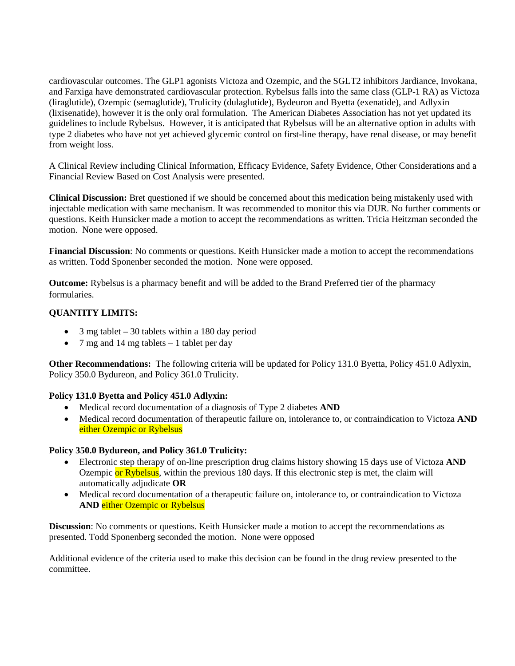cardiovascular outcomes. The GLP1 agonists Victoza and Ozempic, and the SGLT2 inhibitors Jardiance, Invokana, and Farxiga have demonstrated cardiovascular protection. Rybelsus falls into the same class (GLP-1 RA) as Victoza (liraglutide), Ozempic (semaglutide), Trulicity (dulaglutide), Bydeuron and Byetta (exenatide), and Adlyxin (lixisenatide), however it is the only oral formulation. The American Diabetes Association has not yet updated its guidelines to include Rybelsus. However, it is anticipated that Rybelsus will be an alternative option in adults with type 2 diabetes who have not yet achieved glycemic control on first-line therapy, have renal disease, or may benefit from weight loss.

A Clinical Review including Clinical Information, Efficacy Evidence, Safety Evidence, Other Considerations and a Financial Review Based on Cost Analysis were presented.

**Clinical Discussion:** Bret questioned if we should be concerned about this medication being mistakenly used with injectable medication with same mechanism. It was recommended to monitor this via DUR. No further comments or questions. Keith Hunsicker made a motion to accept the recommendations as written. Tricia Heitzman seconded the motion. None were opposed.

**Financial Discussion**: No comments or questions. Keith Hunsicker made a motion to accept the recommendations as written. Todd Sponenber seconded the motion. None were opposed.

**Outcome:** Rybelsus is a pharmacy benefit and will be added to the Brand Preferred tier of the pharmacy formularies.

# **QUANTITY LIMITS:**

- 3 mg tablet  $-30$  tablets within a 180 day period
- 7 mg and 14 mg tablets 1 tablet per day

**Other Recommendations:** The following criteria will be updated for Policy 131.0 Byetta, Policy 451.0 Adlyxin, Policy 350.0 Bydureon, and Policy 361.0 Trulicity.

### **Policy 131.0 Byetta and Policy 451.0 Adlyxin:**

- Medical record documentation of a diagnosis of Type 2 diabetes **AND**
- Medical record documentation of therapeutic failure on, intolerance to, or contraindication to Victoza **AND** either Ozempic or Rybelsus

### **Policy 350.0 Bydureon, and Policy 361.0 Trulicity:**

- Electronic step therapy of on-line prescription drug claims history showing 15 days use of Victoza **AND**  Ozempic or Rybelsus, within the previous 180 days. If this electronic step is met, the claim will automatically adjudicate **OR**
- Medical record documentation of a therapeutic failure on, intolerance to, or contraindication to Victoza **AND** either Ozempic or Rybelsus

**Discussion**: No comments or questions. Keith Hunsicker made a motion to accept the recommendations as presented. Todd Sponenberg seconded the motion. None were opposed

Additional evidence of the criteria used to make this decision can be found in the drug review presented to the committee.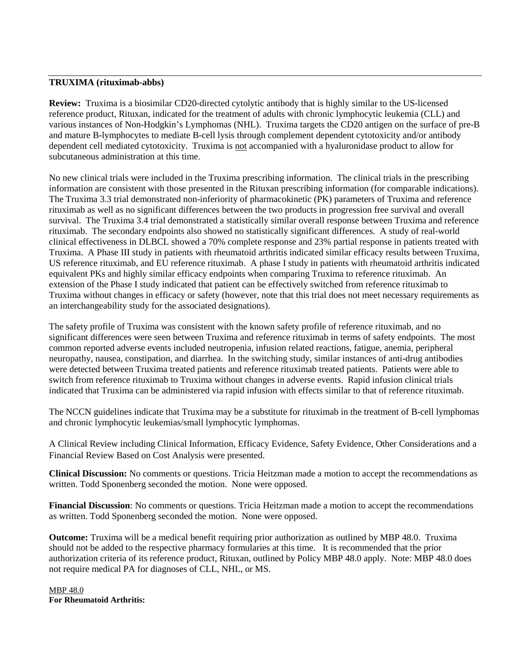#### **TRUXIMA (rituximab-abbs)**

**Review:** Truxima is a biosimilar CD20-directed cytolytic antibody that is highly similar to the US-licensed reference product, Rituxan, indicated for the treatment of adults with chronic lymphocytic leukemia (CLL) and various instances of Non-Hodgkin's Lymphomas (NHL). Truxima targets the CD20 antigen on the surface of pre-B and mature B-lymphocytes to mediate B-cell lysis through complement dependent cytotoxicity and/or antibody dependent cell mediated cytotoxicity. Truxima is not accompanied with a hyaluronidase product to allow for subcutaneous administration at this time.

No new clinical trials were included in the Truxima prescribing information. The clinical trials in the prescribing information are consistent with those presented in the Rituxan prescribing information (for comparable indications). The Truxima 3.3 trial demonstrated non-inferiority of pharmacokinetic (PK) parameters of Truxima and reference rituximab as well as no significant differences between the two products in progression free survival and overall survival. The Truxima 3.4 trial demonstrated a statistically similar overall response between Truxima and reference rituximab. The secondary endpoints also showed no statistically significant differences. A study of real-world clinical effectiveness in DLBCL showed a 70% complete response and 23% partial response in patients treated with Truxima. A Phase III study in patients with rheumatoid arthritis indicated similar efficacy results between Truxima, US reference rituximab, and EU reference rituximab. A phase I study in patients with rheumatoid arthritis indicated equivalent PKs and highly similar efficacy endpoints when comparing Truxima to reference rituximab. An extension of the Phase I study indicated that patient can be effectively switched from reference rituximab to Truxima without changes in efficacy or safety (however, note that this trial does not meet necessary requirements as an interchangeability study for the associated designations).

The safety profile of Truxima was consistent with the known safety profile of reference rituximab, and no significant differences were seen between Truxima and reference rituximab in terms of safety endpoints. The most common reported adverse events included neutropenia, infusion related reactions, fatigue, anemia, peripheral neuropathy, nausea, constipation, and diarrhea. In the switching study, similar instances of anti-drug antibodies were detected between Truxima treated patients and reference rituximab treated patients. Patients were able to switch from reference rituximab to Truxima without changes in adverse events. Rapid infusion clinical trials indicated that Truxima can be administered via rapid infusion with effects similar to that of reference rituximab.

The NCCN guidelines indicate that Truxima may be a substitute for rituximab in the treatment of B-cell lymphomas and chronic lymphocytic leukemias/small lymphocytic lymphomas.

A Clinical Review including Clinical Information, Efficacy Evidence, Safety Evidence, Other Considerations and a Financial Review Based on Cost Analysis were presented.

**Clinical Discussion:** No comments or questions. Tricia Heitzman made a motion to accept the recommendations as written. Todd Sponenberg seconded the motion. None were opposed.

**Financial Discussion**: No comments or questions. Tricia Heitzman made a motion to accept the recommendations as written. Todd Sponenberg seconded the motion. None were opposed.

**Outcome:** Truxima will be a medical benefit requiring prior authorization as outlined by MBP 48.0. Truxima should not be added to the respective pharmacy formularies at this time. It is recommended that the prior authorization criteria of its reference product, Rituxan, outlined by Policy MBP 48.0 apply. Note: MBP 48.0 does not require medical PA for diagnoses of CLL, NHL, or MS.

MBP 48.0 **For Rheumatoid Arthritis:**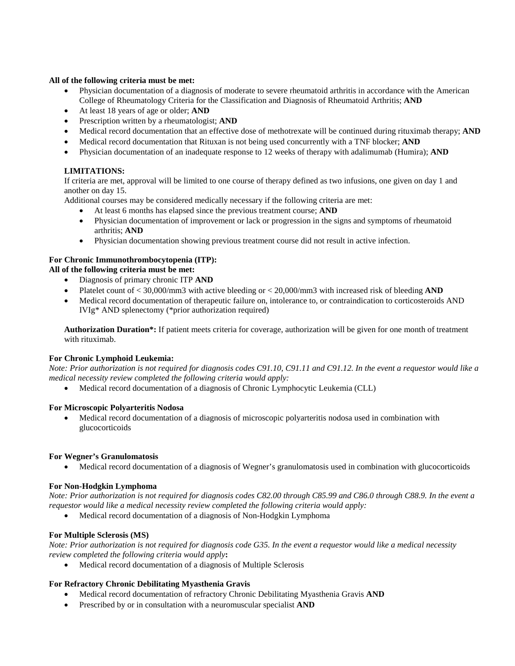#### **All of the following criteria must be met:**

- Physician documentation of a diagnosis of moderate to severe rheumatoid arthritis in accordance with the American College of Rheumatology Criteria for the Classification and Diagnosis of Rheumatoid Arthritis; **AND**
- At least 18 years of age or older; **AND**
- Prescription written by a rheumatologist; **AND**
- Medical record documentation that an effective dose of methotrexate will be continued during rituximab therapy; **AND**
- Medical record documentation that Rituxan is not being used concurrently with a TNF blocker; **AND**
- Physician documentation of an inadequate response to 12 weeks of therapy with adalimumab (Humira); **AND**

### **LIMITATIONS:**

If criteria are met, approval will be limited to one course of therapy defined as two infusions, one given on day 1 and another on day 15.

Additional courses may be considered medically necessary if the following criteria are met:

- At least 6 months has elapsed since the previous treatment course; **AND**
- Physician documentation of improvement or lack or progression in the signs and symptoms of rheumatoid arthritis; **AND**
- Physician documentation showing previous treatment course did not result in active infection.

#### **For Chronic Immunothrombocytopenia (ITP):**

**All of the following criteria must be met:**

- Diagnosis of primary chronic ITP **AND**
- Platelet count of < 30,000/mm3 with active bleeding or < 20,000/mm3 with increased risk of bleeding **AND**
- Medical record documentation of therapeutic failure on, intolerance to, or contraindication to corticosteroids AND IVIg\* AND splenectomy (\*prior authorization required)

**Authorization Duration\*:** If patient meets criteria for coverage, authorization will be given for one month of treatment with rituximab.

#### **For Chronic Lymphoid Leukemia:**

*Note: Prior authorization is not required for diagnosis codes C91.10, C91.11 and C91.12. In the event a requestor would like a medical necessity review completed the following criteria would apply:*

• Medical record documentation of a diagnosis of Chronic Lymphocytic Leukemia (CLL)

#### **For Microscopic Polyarteritis Nodosa**

• Medical record documentation of a diagnosis of microscopic polyarteritis nodosa used in combination with glucocorticoids

#### **For Wegner's Granulomatosis**

• Medical record documentation of a diagnosis of Wegner's granulomatosis used in combination with glucocorticoids

#### **For Non-Hodgkin Lymphoma**

*Note: Prior authorization is not required for diagnosis codes C82.00 through C85.99 and C86.0 through C88.9. In the event a requestor would like a medical necessity review completed the following criteria would apply:*

• Medical record documentation of a diagnosis of Non-Hodgkin Lymphoma

#### **For Multiple Sclerosis (MS)**

*Note: Prior authorization is not required for diagnosis code G35. In the event a requestor would like a medical necessity review completed the following criteria would apply***:**

• Medical record documentation of a diagnosis of Multiple Sclerosis

#### **For Refractory Chronic Debilitating Myasthenia Gravis**

- Medical record documentation of refractory Chronic Debilitating Myasthenia Gravis **AND**
- Prescribed by or in consultation with a neuromuscular specialist **AND**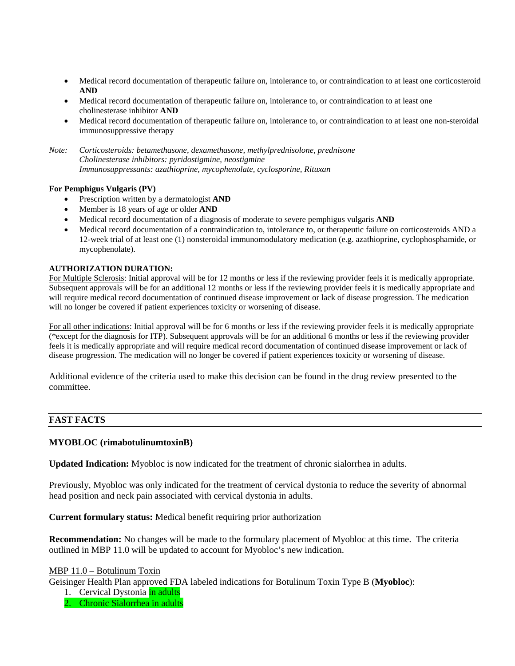- Medical record documentation of therapeutic failure on, intolerance to, or contraindication to at least one corticosteroid **AND**
- Medical record documentation of therapeutic failure on, intolerance to, or contraindication to at least one cholinesterase inhibitor **AND**
- Medical record documentation of therapeutic failure on, intolerance to, or contraindication to at least one non-steroidal immunosuppressive therapy

*Note: Corticosteroids: betamethasone, dexamethasone, methylprednisolone, prednisone Cholinesterase inhibitors: pyridostigmine, neostigmine Immunosuppressants: azathioprine, mycophenolate, cyclosporine, Rituxan*

#### **For Pemphigus Vulgaris (PV)**

- Prescription written by a dermatologist **AND**
- Member is 18 years of age or older **AND**
- Medical record documentation of a diagnosis of moderate to severe pemphigus vulgaris **AND**
- Medical record documentation of a contraindication to, intolerance to, or therapeutic failure on corticosteroids AND a 12-week trial of at least one (1) nonsteroidal immunomodulatory medication (e.g. azathioprine, cyclophosphamide, or mycophenolate).

#### **AUTHORIZATION DURATION:**

For Multiple Sclerosis: Initial approval will be for 12 months or less if the reviewing provider feels it is medically appropriate. Subsequent approvals will be for an additional 12 months or less if the reviewing provider feels it is medically appropriate and will require medical record documentation of continued disease improvement or lack of disease progression. The medication will no longer be covered if patient experiences toxicity or worsening of disease.

For all other indications: Initial approval will be for 6 months or less if the reviewing provider feels it is medically appropriate (\*except for the diagnosis for ITP). Subsequent approvals will be for an additional 6 months or less if the reviewing provider feels it is medically appropriate and will require medical record documentation of continued disease improvement or lack of disease progression. The medication will no longer be covered if patient experiences toxicity or worsening of disease.

Additional evidence of the criteria used to make this decision can be found in the drug review presented to the committee.

#### **FAST FACTS**

#### **MYOBLOC (rimabotulinumtoxinB)**

**Updated Indication:** Myobloc is now indicated for the treatment of chronic sialorrhea in adults.

Previously, Myobloc was only indicated for the treatment of cervical dystonia to reduce the severity of abnormal head position and neck pain associated with cervical dystonia in adults.

**Current formulary status:** Medical benefit requiring prior authorization

**Recommendation:** No changes will be made to the formulary placement of Myobloc at this time. The criteria outlined in MBP 11.0 will be updated to account for Myobloc's new indication.

#### MBP 11.0 – Botulinum Toxin

Geisinger Health Plan approved FDA labeled indications for Botulinum Toxin Type B (**Myobloc**):

- 1. Cervical Dystonia in adults
- 2. Chronic Sialorrhea in adults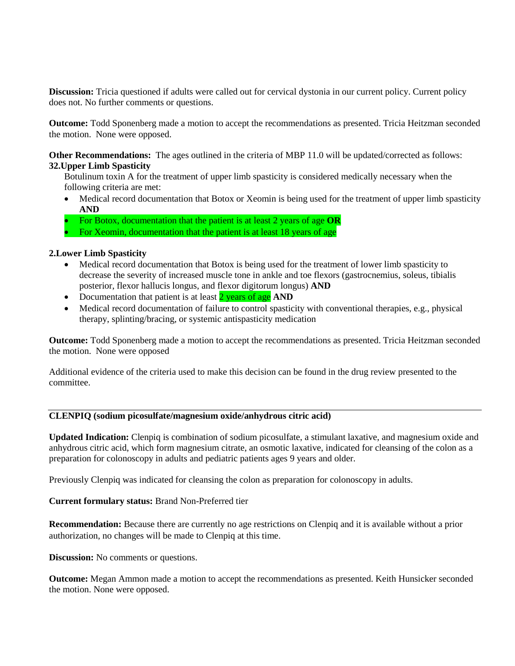**Discussion:** Tricia questioned if adults were called out for cervical dystonia in our current policy. Current policy does not. No further comments or questions.

**Outcome:** Todd Sponenberg made a motion to accept the recommendations as presented. Tricia Heitzman seconded the motion. None were opposed.

**Other Recommendations:** The ages outlined in the criteria of MBP 11.0 will be updated/corrected as follows: **32.Upper Limb Spasticity**

Botulinum toxin A for the treatment of upper limb spasticity is considered medically necessary when the following criteria are met:

- Medical record documentation that Botox or Xeomin is being used for the treatment of upper limb spasticity **AND**
- For Botox, documentation that the patient is at least 2 years of age **OR**
- For Xeomin, documentation that the patient is at least 18 years of age

#### **2.Lower Limb Spasticity**

- Medical record documentation that Botox is being used for the treatment of lower limb spasticity to decrease the severity of increased muscle tone in ankle and toe flexors (gastrocnemius, soleus, tibialis posterior, flexor hallucis longus, and flexor digitorum longus) **AND**
- Documentation that patient is at least **2** years of age **AND**
- Medical record documentation of failure to control spasticity with conventional therapies, e.g., physical therapy, splinting/bracing, or systemic antispasticity medication

**Outcome:** Todd Sponenberg made a motion to accept the recommendations as presented. Tricia Heitzman seconded the motion. None were opposed

Additional evidence of the criteria used to make this decision can be found in the drug review presented to the committee.

#### **CLENPIQ (sodium picosulfate/magnesium oxide/anhydrous citric acid)**

**Updated Indication:** Clenpiq is combination of sodium picosulfate, a stimulant laxative, and magnesium oxide and anhydrous citric acid, which form magnesium citrate, an osmotic laxative, indicated for cleansing of the colon as a preparation for colonoscopy in adults and pediatric patients ages 9 years and older.

Previously Clenpiq was indicated for cleansing the colon as preparation for colonoscopy in adults.

### **Current formulary status:** Brand Non-Preferred tier

**Recommendation:** Because there are currently no age restrictions on Clenpiq and it is available without a prior authorization, no changes will be made to Clenpiq at this time.

**Discussion:** No comments or questions.

**Outcome:** Megan Ammon made a motion to accept the recommendations as presented. Keith Hunsicker seconded the motion. None were opposed.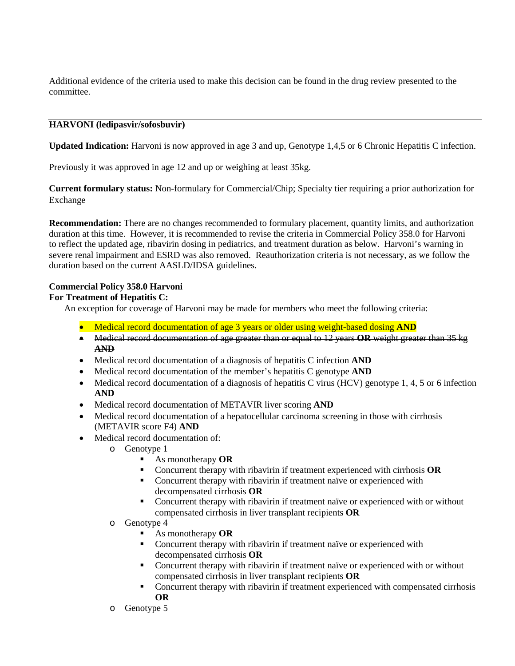Additional evidence of the criteria used to make this decision can be found in the drug review presented to the committee.

# **HARVONI (ledipasvir/sofosbuvir)**

**Updated Indication:** Harvoni is now approved in age 3 and up, Genotype 1,4,5 or 6 Chronic Hepatitis C infection.

Previously it was approved in age 12 and up or weighing at least 35kg.

**Current formulary status:** Non-formulary for Commercial/Chip; Specialty tier requiring a prior authorization for Exchange

**Recommendation:** There are no changes recommended to formulary placement, quantity limits, and authorization duration at this time. However, it is recommended to revise the criteria in Commercial Policy 358.0 for Harvoni to reflect the updated age, ribavirin dosing in pediatrics, and treatment duration as below. Harvoni's warning in severe renal impairment and ESRD was also removed. Reauthorization criteria is not necessary, as we follow the duration based on the current AASLD/IDSA guidelines.

# **Commercial Policy 358.0 Harvoni**

### **For Treatment of Hepatitis C:**

An exception for coverage of Harvoni may be made for members who meet the following criteria:

- Medical record documentation of age 3 years or older using weight-based dosing **AND**
- Medical record documentation of age greater than or equal to 12 years **OR** weight greater than 35 kg **AND**
- Medical record documentation of a diagnosis of hepatitis C infection **AND**
- Medical record documentation of the member's hepatitis C genotype **AND**
- Medical record documentation of a diagnosis of hepatitis C virus (HCV) genotype 1, 4, 5 or 6 infection **AND**
- Medical record documentation of METAVIR liver scoring **AND**
- Medical record documentation of a hepatocellular carcinoma screening in those with cirrhosis (METAVIR score F4) **AND**
- Medical record documentation of:
	- $\circ$  Genotype 1
		- As monotherapy **OR**
		- Concurrent therapy with ribavirin if treatment experienced with cirrhosis **OR**
		- **•** Concurrent therapy with ribavirin if treatment naïve or experienced with decompensated cirrhosis **OR**
		- Concurrent therapy with ribavirin if treatment naïve or experienced with or without compensated cirrhosis in liver transplant recipients **OR**
	- o Genotype 4
		- As monotherapy **OR**
		- Concurrent therapy with ribavirin if treatment naïve or experienced with decompensated cirrhosis **OR**
		- Concurrent therapy with ribavirin if treatment naïve or experienced with or without compensated cirrhosis in liver transplant recipients **OR**
		- Concurrent therapy with ribavirin if treatment experienced with compensated cirrhosis **OR**
	- o Genotype 5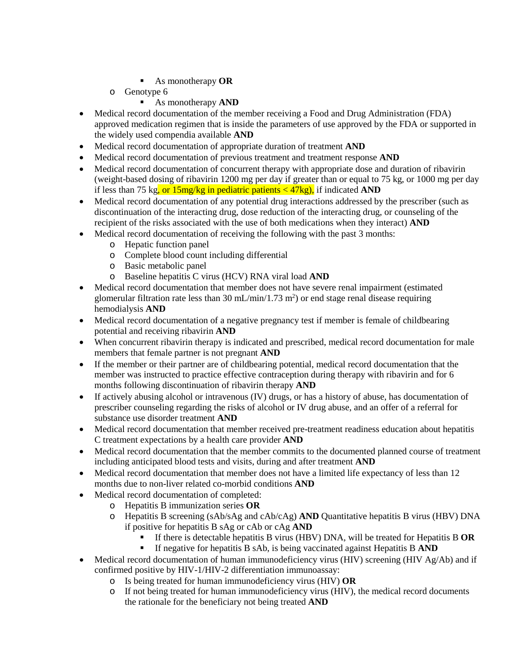- As monotherapy **OR**
- o Genotype 6
	- As monotherapy **AND**
- Medical record documentation of the member receiving a Food and Drug Administration (FDA) approved medication regimen that is inside the parameters of use approved by the FDA or supported in the widely used compendia available **AND**
- Medical record documentation of appropriate duration of treatment **AND**
- Medical record documentation of previous treatment and treatment response **AND**
- Medical record documentation of concurrent therapy with appropriate dose and duration of ribavirin (weight-based dosing of ribavirin 1200 mg per day if greater than or equal to 75 kg, or 1000 mg per day if less than 75 kg, or 15mg/kg in pediatric patients < 47kg), if indicated **AND**
- Medical record documentation of any potential drug interactions addressed by the prescriber (such as discontinuation of the interacting drug, dose reduction of the interacting drug, or counseling of the recipient of the risks associated with the use of both medications when they interact) **AND**
- Medical record documentation of receiving the following with the past 3 months:
	- o Hepatic function panel
	- o Complete blood count including differential
	- o Basic metabolic panel
	- o Baseline hepatitis C virus (HCV) RNA viral load **AND**
- Medical record documentation that member does not have severe renal impairment (estimated glomerular filtration rate less than 30 mL/min/1.73 m<sup>2</sup>) or end stage renal disease requiring hemodialysis **AND**
- Medical record documentation of a negative pregnancy test if member is female of childbearing potential and receiving ribavirin **AND**
- When concurrent ribavirin therapy is indicated and prescribed, medical record documentation for male members that female partner is not pregnant **AND**
- If the member or their partner are of childbearing potential, medical record documentation that the member was instructed to practice effective contraception during therapy with ribavirin and for 6 months following discontinuation of ribavirin therapy **AND**
- If actively abusing alcohol or intravenous (IV) drugs, or has a history of abuse, has documentation of prescriber counseling regarding the risks of alcohol or IV drug abuse, and an offer of a referral for substance use disorder treatment **AND**
- Medical record documentation that member received pre-treatment readiness education about hepatitis C treatment expectations by a health care provider **AND**
- Medical record documentation that the member commits to the documented planned course of treatment including anticipated blood tests and visits, during and after treatment **AND**
- Medical record documentation that member does not have a limited life expectancy of less than 12 months due to non-liver related co-morbid conditions **AND**
- Medical record documentation of completed:
	- o Hepatitis B immunization series **OR**
	- o Hepatitis B screening (sAb/sAg and cAb/cAg) **AND** Quantitative hepatitis B virus (HBV) DNA if positive for hepatitis B sAg or cAb or cAg **AND**
		- If there is detectable hepatitis B virus (HBV) DNA, will be treated for Hepatitis B **OR**
		- If negative for hepatitis B sAb, is being vaccinated against Hepatitis B **AND**
- Medical record documentation of human immunodeficiency virus (HIV) screening (HIV Ag/Ab) and if confirmed positive by HIV-1/HIV-2 differentiation immunoassay:
	- o Is being treated for human immunodeficiency virus (HIV) **OR**
	- o If not being treated for human immunodeficiency virus (HIV), the medical record documents the rationale for the beneficiary not being treated **AND**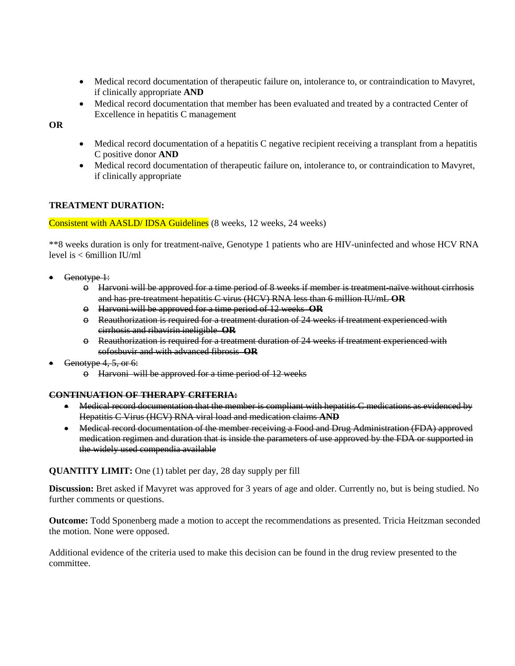- Medical record documentation of therapeutic failure on, intolerance to, or contraindication to Mavyret, if clinically appropriate **AND**
- Medical record documentation that member has been evaluated and treated by a contracted Center of Excellence in hepatitis C management

**OR**

- Medical record documentation of a hepatitis C negative recipient receiving a transplant from a hepatitis C positive donor **AND**
- Medical record documentation of therapeutic failure on, intolerance to, or contraindication to Mavyret, if clinically appropriate

# **TREATMENT DURATION:**

Consistent with AASLD/ IDSA Guidelines (8 weeks, 12 weeks, 24 weeks)

\*\*8 weeks duration is only for treatment-naïve, Genotype 1 patients who are HIV-uninfected and whose HCV RNA level is < 6million IU/ml

- Genotype 1:
	- $\Theta$  Harvoni will be approved for a time period of 8 weeks if member is treatment-naïve without cirrhosis and has pre-treatment hepatitis C virus (HCV) RNA less than 6 million IU/mL **OR**
	- o Harvoni will be approved for a time period of 12 weeks **OR**
	- o Reauthorization is required for a treatment duration of 24 weeks if treatment experienced with cirrhosis and ribavirin ineligible **OR**
	- $\Theta$  Reauthorization is required for a treatment duration of 24 weeks if treatment experienced with sofosbuvir and with advanced fibrosis **OR**
- Genotype 4, 5, or 6:
	- o Harvoni will be approved for a time period of 12 weeks

### **CONTINUATION OF THERAPY CRITERIA:**

- Medical record documentation that the member is compliant with hepatitis C medications as evidenced by Hepatitis C Virus (HCV) RNA viral load and medication claims **AND**
- Medical record documentation of the member receiving a Food and Drug Administration (FDA) approved medication regimen and duration that is inside the parameters of use approved by the FDA or supported in the widely used compendia available

**QUANTITY LIMIT:** One (1) tablet per day, 28 day supply per fill

**Discussion:** Bret asked if Mavyret was approved for 3 years of age and older. Currently no, but is being studied. No further comments or questions.

**Outcome:** Todd Sponenberg made a motion to accept the recommendations as presented. Tricia Heitzman seconded the motion. None were opposed.

Additional evidence of the criteria used to make this decision can be found in the drug review presented to the committee.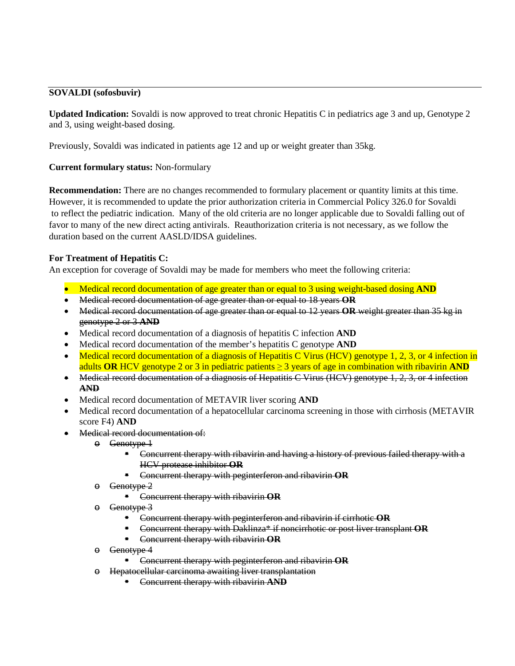# **SOVALDI (sofosbuvir)**

**Updated Indication:** Sovaldi is now approved to treat chronic Hepatitis C in pediatrics age 3 and up, Genotype 2 and 3, using weight-based dosing.

Previously, Sovaldi was indicated in patients age 12 and up or weight greater than 35kg.

# **Current formulary status:** Non-formulary

**Recommendation:** There are no changes recommended to formulary placement or quantity limits at this time. However, it is recommended to update the prior authorization criteria in Commercial Policy 326.0 for Sovaldi to reflect the pediatric indication. Many of the old criteria are no longer applicable due to Sovaldi falling out of favor to many of the new direct acting antivirals. Reauthorization criteria is not necessary, as we follow the duration based on the current AASLD/IDSA guidelines.

# **For Treatment of Hepatitis C:**

An exception for coverage of Sovaldi may be made for members who meet the following criteria:

- Medical record documentation of age greater than or equal to 3 using weight-based dosing **AND**
- Medical record documentation of age greater than or equal to 18 years **OR**
- Medical record documentation of age greater than or equal to 12 years **OR** weight greater than 35 kg in genotype 2 or 3 **AND**
- Medical record documentation of a diagnosis of hepatitis C infection **AND**
- Medical record documentation of the member's hepatitis C genotype **AND**
- Medical record documentation of a diagnosis of Hepatitis C Virus (HCV) genotype 1, 2, 3, or 4 infection in adults **OR** HCV genotype 2 or 3 in pediatric patients  $\geq$  3 years of age in combination with ribavirin **AND**
- Medical record documentation of a diagnosis of Hepatitis C Virus (HCV) genotype 1, 2, 3, or 4 infection **AND**
- Medical record documentation of METAVIR liver scoring **AND**
- Medical record documentation of a hepatocellular carcinoma screening in those with cirrhosis (METAVIR score F4) **AND**
- Medical record documentation of:
	- o Genotype 1
		- **EXCO** Concurrent therapy with ribavirin and having a history of previous failed therapy with a HCV protease inhibitor **OR**
		- Concurrent therapy with peginterferon and ribavirin **OR**
	- o Genotype 2
		- Concurrent therapy with ribavirin **OR**
	- o Genotype 3
		- Concurrent therapy with peginterferon and ribavirin if cirrhotic **OR**
		- Concurrent therapy with Daklinza\* if noncirrhotic or post liver transplant **OR**
		- Concurrent therapy with ribavirin **OR**
	- o Genotype 4
		- Concurrent therapy with peginterferon and ribavirin **OR**
	- o Hepatocellular carcinoma awaiting liver transplantation
		- Concurrent therapy with ribavirin **AND**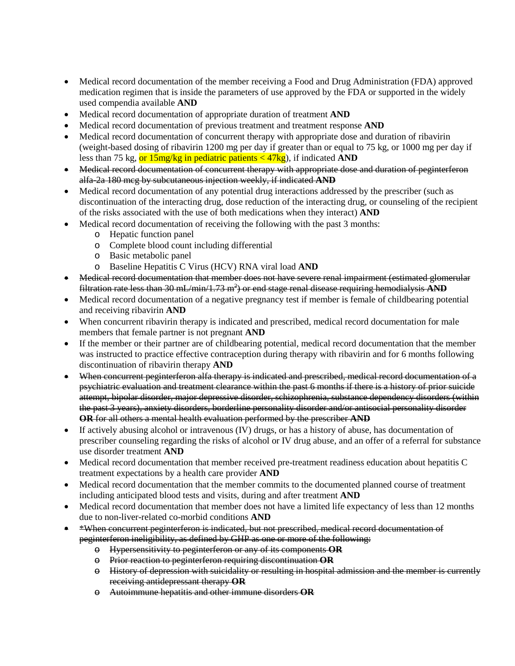- Medical record documentation of the member receiving a Food and Drug Administration (FDA) approved medication regimen that is inside the parameters of use approved by the FDA or supported in the widely used compendia available **AND**
- Medical record documentation of appropriate duration of treatment **AND**
- Medical record documentation of previous treatment and treatment response **AND**
- Medical record documentation of concurrent therapy with appropriate dose and duration of ribavirin (weight-based dosing of ribavirin 1200 mg per day if greater than or equal to 75 kg, or 1000 mg per day if less than 75 kg, or 15mg/kg in pediatric patients < 47kg), if indicated **AND**
- Medical record documentation of concurrent therapy with appropriate dose and duration of peginterferon alfa-2a 180 mcg by subcutaneous injection weekly, if indicated **AND**
- Medical record documentation of any potential drug interactions addressed by the prescriber (such as discontinuation of the interacting drug, dose reduction of the interacting drug, or counseling of the recipient of the risks associated with the use of both medications when they interact) **AND**
- Medical record documentation of receiving the following with the past 3 months:
	- o Hepatic function panel
	- o Complete blood count including differential
	- o Basic metabolic panel
	- o Baseline Hepatitis C Virus (HCV) RNA viral load **AND**
- Medical record documentation that member does not have severe renal impairment (estimated glomerular filtration rate less than 30 mL/min/1.73 m<sup>2</sup>) or end stage renal disease requiring hemodialysis AND
- Medical record documentation of a negative pregnancy test if member is female of childbearing potential and receiving ribavirin **AND**
- When concurrent ribavirin therapy is indicated and prescribed, medical record documentation for male members that female partner is not pregnant **AND**
- If the member or their partner are of childbearing potential, medical record documentation that the member was instructed to practice effective contraception during therapy with ribavirin and for 6 months following discontinuation of ribavirin therapy **AND**
- When concurrent peginterferon alfa therapy is indicated and prescribed, medical record documentation of a psychiatric evaluation and treatment clearance within the past 6 months if there is a history of prior suicide attempt, bipolar disorder, major depressive disorder, schizophrenia, substance dependency disorders (within the past 3 years), anxiety disorders, borderline personality disorder and/or antisocial personality disorder **OR** for all others a mental health evaluation performed by the prescriber **AND**
- If actively abusing alcohol or intravenous (IV) drugs, or has a history of abuse, has documentation of prescriber counseling regarding the risks of alcohol or IV drug abuse, and an offer of a referral for substance use disorder treatment **AND**
- Medical record documentation that member received pre-treatment readiness education about hepatitis C treatment expectations by a health care provider **AND**
- Medical record documentation that the member commits to the documented planned course of treatment including anticipated blood tests and visits, during and after treatment **AND**
- Medical record documentation that member does not have a limited life expectancy of less than 12 months due to non-liver-related co-morbid conditions **AND**
- \*When concurrent peginterferon is indicated, but not prescribed, medical record documentation of peginterferon ineligibility, as defined by GHP as one or more of the following:
	- o Hypersensitivity to peginterferon or any of its components **OR**
	- o Prior reaction to peginterferon requiring discontinuation **OR**
	- o History of depression with suicidality or resulting in hospital admission and the member is currently receiving antidepressant therapy **OR**
	- o Autoimmune hepatitis and other immune disorders **OR**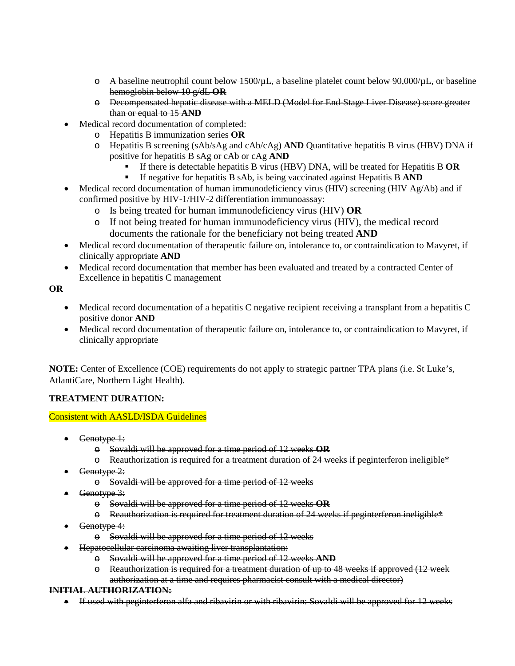- $\Theta$  A baseline neutrophil count below 1500/ $\mu$ L, a baseline platelet count below 90,000/ $\mu$ L, or baseline hemoglobin below 10 g/dL **OR**
- o Decompensated hepatic disease with a MELD (Model for End-Stage Liver Disease) score greater than or equal to 15 **AND**
- Medical record documentation of completed:
	- o Hepatitis B immunization series **OR**
	- o Hepatitis B screening (sAb/sAg and cAb/cAg) **AND** Quantitative hepatitis B virus (HBV) DNA if positive for hepatitis B sAg or cAb or cAg **AND**
		- If there is detectable hepatitis B virus (HBV) DNA, will be treated for Hepatitis B **OR**
		- If negative for hepatitis B sAb, is being vaccinated against Hepatitis B **AND**
- Medical record documentation of human immunodeficiency virus (HIV) screening (HIV Ag/Ab) and if confirmed positive by HIV-1/HIV-2 differentiation immunoassay:
	- o Is being treated for human immunodeficiency virus (HIV) **OR**
	- o If not being treated for human immunodeficiency virus (HIV), the medical record documents the rationale for the beneficiary not being treated **AND**
- Medical record documentation of therapeutic failure on, intolerance to, or contraindication to Mavyret, if clinically appropriate **AND**
- Medical record documentation that member has been evaluated and treated by a contracted Center of Excellence in hepatitis C management

**OR**

- Medical record documentation of a hepatitis C negative recipient receiving a transplant from a hepatitis C positive donor **AND**
- Medical record documentation of therapeutic failure on, intolerance to, or contraindication to Mavyret, if clinically appropriate

**NOTE:** Center of Excellence (COE) requirements do not apply to strategic partner TPA plans (i.e. St Luke's, AtlantiCare, Northern Light Health).

# **TREATMENT DURATION:**

# Consistent with AASLD/ISDA Guidelines

- Genotype 1:
	- o Sovaldi will be approved for a time period of 12 weeks **OR**
	- $\Theta$  Reauthorization is required for a treatment duration of 24 weeks if peginterferon ineligible\*
- Genotype 2:
	- o Sovaldi will be approved for a time period of 12 weeks
- Genotype 3:
	- o Sovaldi will be approved for a time period of 12 weeks **OR**
	- $\Theta$  Reauthorization is required for treatment duration of 24 weeks if peginterferon ineligible\*
- Genotype 4:
	- o Sovaldi will be approved for a time period of 12 weeks
- Hepatocellular carcinoma awaiting liver transplantation:
	- o Sovaldi will be approved for a time period of 12 weeks **AND**
	- o Reauthorization is required for a treatment duration of up to 48 weeks if approved (12 week authorization at a time and requires pharmacist consult with a medical director)

### **INITIAL AUTHORIZATION:**

• If used with peginterferon alfa and ribavirin or with ribavirin: Sovaldi will be approved for 12 weeks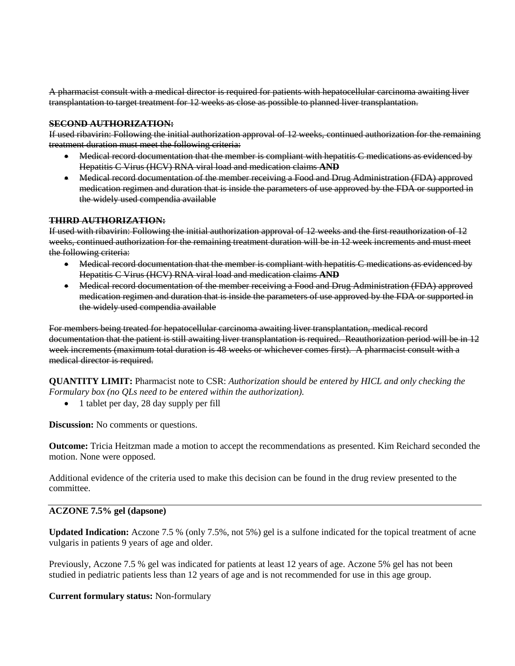A pharmacist consult with a medical director is required for patients with hepatocellular carcinoma awaiting liver transplantation to target treatment for 12 weeks as close as possible to planned liver transplantation.

#### **SECOND AUTHORIZATION:**

If used ribavirin: Following the initial authorization approval of 12 weeks, continued authorization for the remaining treatment duration must meet the following criteria:

- Medical record documentation that the member is compliant with hepatitis C medications as evidenced by Hepatitis C Virus (HCV) RNA viral load and medication claims **AND**
- Medical record documentation of the member receiving a Food and Drug Administration (FDA) approved medication regimen and duration that is inside the parameters of use approved by the FDA or supported in the widely used compendia available

#### **THIRD AUTHORIZATION:**

If used with ribavirin: Following the initial authorization approval of 12 weeks and the first reauthorization of 12 weeks, continued authorization for the remaining treatment duration will be in 12 week increments and must meet the following criteria:

- Medical record documentation that the member is compliant with hepatitis C medications as evidenced by Hepatitis C Virus (HCV) RNA viral load and medication claims **AND**
- Medical record documentation of the member receiving a Food and Drug Administration (FDA) approved medication regimen and duration that is inside the parameters of use approved by the FDA or supported in the widely used compendia available

For members being treated for hepatocellular carcinoma awaiting liver transplantation, medical record documentation that the patient is still awaiting liver transplantation is required. Reauthorization period will be in 12 week increments (maximum total duration is 48 weeks or whichever comes first). A pharmacist consult with a medical director is required.

**QUANTITY LIMIT:** Pharmacist note to CSR: *Authorization should be entered by HICL and only checking the Formulary box (no QLs need to be entered within the authorization).*

• 1 tablet per day, 28 day supply per fill

**Discussion:** No comments or questions.

**Outcome:** Tricia Heitzman made a motion to accept the recommendations as presented. Kim Reichard seconded the motion. None were opposed.

Additional evidence of the criteria used to make this decision can be found in the drug review presented to the committee.

## **ACZONE 7.5% gel (dapsone)**

**Updated Indication:** Aczone 7.5 % (only 7.5%, not 5%) gel is a sulfone indicated for the topical treatment of acne vulgaris in patients 9 years of age and older.

Previously, Aczone 7.5 % gel was indicated for patients at least 12 years of age. Aczone 5% gel has not been studied in pediatric patients less than 12 years of age and is not recommended for use in this age group.

#### **Current formulary status:** Non-formulary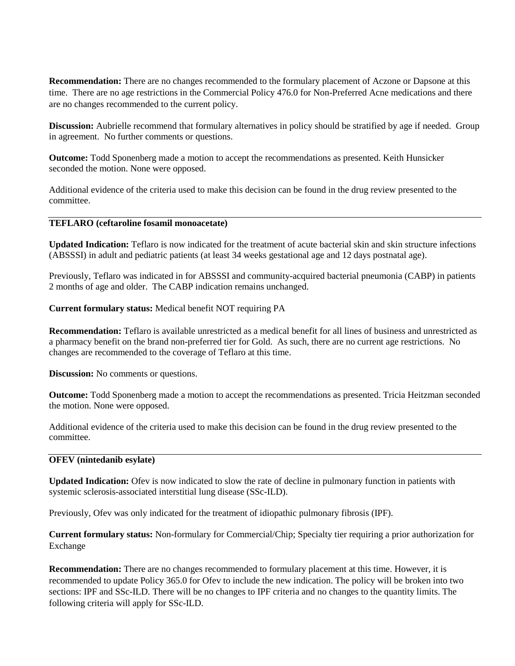**Recommendation:** There are no changes recommended to the formulary placement of Aczone or Dapsone at this time. There are no age restrictions in the Commercial Policy 476.0 for Non-Preferred Acne medications and there are no changes recommended to the current policy.

**Discussion:** Aubrielle recommend that formulary alternatives in policy should be stratified by age if needed. Group in agreement. No further comments or questions.

**Outcome:** Todd Sponenberg made a motion to accept the recommendations as presented. Keith Hunsicker seconded the motion. None were opposed.

Additional evidence of the criteria used to make this decision can be found in the drug review presented to the committee.

#### **TEFLARO (ceftaroline fosamil monoacetate)**

**Updated Indication:** Teflaro is now indicated for the treatment of acute bacterial skin and skin structure infections (ABSSSI) in adult and pediatric patients (at least 34 weeks gestational age and 12 days postnatal age).

Previously, Teflaro was indicated in for ABSSSI and community-acquired bacterial pneumonia (CABP) in patients 2 months of age and older. The CABP indication remains unchanged.

**Current formulary status:** Medical benefit NOT requiring PA

**Recommendation:** Teflaro is available unrestricted as a medical benefit for all lines of business and unrestricted as a pharmacy benefit on the brand non-preferred tier for Gold. As such, there are no current age restrictions. No changes are recommended to the coverage of Teflaro at this time.

**Discussion:** No comments or questions.

**Outcome:** Todd Sponenberg made a motion to accept the recommendations as presented. Tricia Heitzman seconded the motion. None were opposed.

Additional evidence of the criteria used to make this decision can be found in the drug review presented to the committee.

#### **OFEV (nintedanib esylate)**

**Updated Indication:** Ofev is now indicated to slow the rate of decline in pulmonary function in patients with systemic sclerosis-associated interstitial lung disease (SSc-ILD).

Previously, Ofev was only indicated for the treatment of idiopathic pulmonary fibrosis (IPF).

**Current formulary status:** Non-formulary for Commercial/Chip; Specialty tier requiring a prior authorization for Exchange

**Recommendation:** There are no changes recommended to formulary placement at this time. However, it is recommended to update Policy 365.0 for Ofev to include the new indication. The policy will be broken into two sections: IPF and SSc-ILD. There will be no changes to IPF criteria and no changes to the quantity limits. The following criteria will apply for SSc-ILD.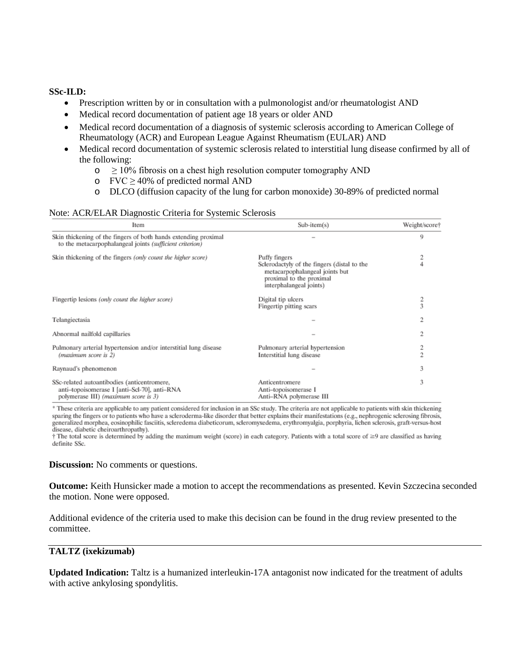#### **SSc-ILD:**

- Prescription written by or in consultation with a pulmonologist and/or rheumatologist AND
- Medical record documentation of patient age 18 years or older AND
- Medical record documentation of a diagnosis of systemic sclerosis according to American College of Rheumatology (ACR) and European League Against Rheumatism (EULAR) AND
- Medical record documentation of systemic sclerosis related to interstitial lung disease confirmed by all of the following:
	- $\circ$   $\geq$  10% fibrosis on a chest high resolution computer tomography AND
	- o FVC  $\geq$  40% of predicted normal AND
	- o DLCO (diffusion capacity of the lung for carbon monoxide) 30-89% of predicted normal

#### Note: ACR/ELAR Diagnostic Criteria for Systemic Sclerosis

| Item                                                                                                                                | $Sub-item(s)$                                                                                                                                         | Weight/score† |
|-------------------------------------------------------------------------------------------------------------------------------------|-------------------------------------------------------------------------------------------------------------------------------------------------------|---------------|
| Skin thickening of the fingers of both hands extending proximal<br>to the metacarpophalangeal joints (sufficient criterion)         |                                                                                                                                                       | 9             |
| Skin thickening of the fingers (only count the higher score)                                                                        | Puffy fingers<br>Sclerodactyly of the fingers (distal to the<br>metacarpophalangeal joints but<br>proximal to the proximal<br>interphalangeal joints) | n.            |
| Fingertip lesions (only count the higher score)                                                                                     | Digital tip ulcers<br>Fingertip pitting scars                                                                                                         |               |
| Telangiectasia                                                                                                                      |                                                                                                                                                       | 2             |
| Abnormal nailfold capillaries                                                                                                       |                                                                                                                                                       | 2             |
| Pulmonary arterial hypertension and/or interstitial lung disease<br>(maximum score is 2)                                            | Pulmonary arterial hypertension<br>Interstitial lung disease                                                                                          | O.            |
| Raynaud's phenomenon                                                                                                                |                                                                                                                                                       | 3             |
| SSc-related autoantibodies (anticentromere,<br>anti-topoisomerase I [anti-Scl-70], anti-RNA<br>polymerase III) (maximum score is 3) | Anticentromere<br>Anti-topoisomerase I<br>Anti-RNA polymerase III                                                                                     |               |

\* These criteria are applicable to any patient considered for inclusion in an SSc study. The criteria are not applicable to patients with skin thickening sparing the fingers or to patients who have a scleroderma-like disorder that better explains their manifestations (e.g., nephrogenic sclerosing fibrosis, generalized morphea, eosinophilic fasciitis, scleredema diabeticorum, scleromyxedema, erythromyalgia, porphyria, lichen sclerosis, graft-versus-host disease, diabetic cheiroarthropathy).

† The total score is determined by adding the maximum weight (score) in each category. Patients with a total score of ≥9 are classified as having definite SSc.

#### **Discussion:** No comments or questions.

**Outcome:** Keith Hunsicker made a motion to accept the recommendations as presented. Kevin Szczecina seconded the motion. None were opposed.

Additional evidence of the criteria used to make this decision can be found in the drug review presented to the committee.

#### **TALTZ (ixekizumab)**

**Updated Indication:** Taltz is a humanized interleukin-17A antagonist now indicated for the treatment of adults with active ankylosing spondylitis.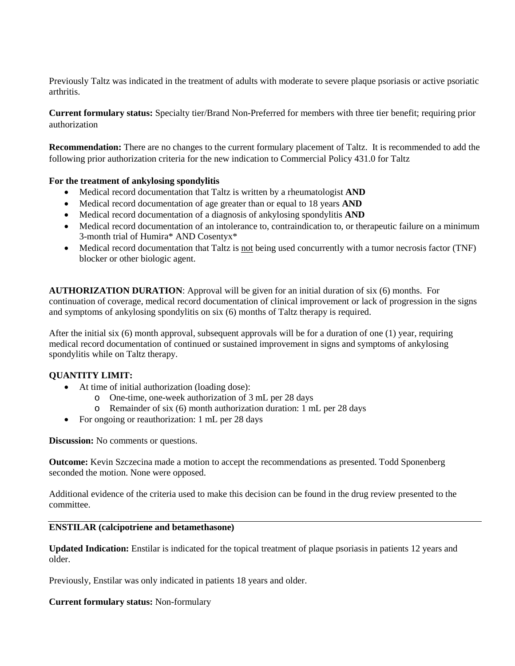Previously Taltz was indicated in the treatment of adults with moderate to severe plaque psoriasis or active psoriatic arthritis.

**Current formulary status:** Specialty tier/Brand Non-Preferred for members with three tier benefit; requiring prior authorization

**Recommendation:** There are no changes to the current formulary placement of Taltz. It is recommended to add the following prior authorization criteria for the new indication to Commercial Policy 431.0 for Taltz

### **For the treatment of ankylosing spondylitis**

- Medical record documentation that Taltz is written by a rheumatologist **AND**
- Medical record documentation of age greater than or equal to 18 years **AND**
- Medical record documentation of a diagnosis of ankylosing spondylitis **AND**
- Medical record documentation of an intolerance to, contraindication to, or therapeutic failure on a minimum 3-month trial of Humira\* AND Cosentyx\*
- Medical record documentation that Taltz is not being used concurrently with a tumor necrosis factor (TNF) blocker or other biologic agent.

**AUTHORIZATION DURATION**: Approval will be given for an initial duration of six (6) months. For continuation of coverage, medical record documentation of clinical improvement or lack of progression in the signs and symptoms of ankylosing spondylitis on six (6) months of Taltz therapy is required.

After the initial six (6) month approval, subsequent approvals will be for a duration of one (1) year, requiring medical record documentation of continued or sustained improvement in signs and symptoms of ankylosing spondylitis while on Taltz therapy.

### **QUANTITY LIMIT:**

- At time of initial authorization (loading dose):
	- o One-time, one-week authorization of 3 mL per 28 days
	- o Remainder of six (6) month authorization duration: 1 mL per 28 days
- For ongoing or reauthorization: 1 mL per 28 days

**Discussion:** No comments or questions.

**Outcome:** Kevin Szczecina made a motion to accept the recommendations as presented. Todd Sponenberg seconded the motion. None were opposed.

Additional evidence of the criteria used to make this decision can be found in the drug review presented to the committee.

### **ENSTILAR (calcipotriene and betamethasone)**

**Updated Indication:** Enstilar is indicated for the topical treatment of plaque psoriasis in patients 12 years and older.

Previously, Enstilar was only indicated in patients 18 years and older.

### **Current formulary status:** Non-formulary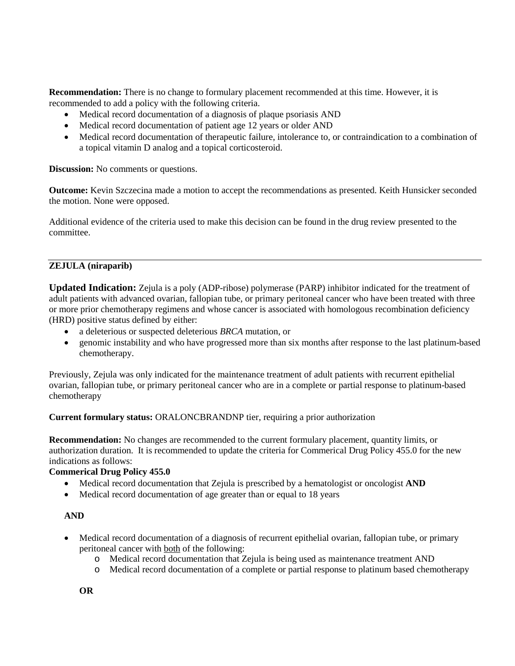**Recommendation:** There is no change to formulary placement recommended at this time. However, it is recommended to add a policy with the following criteria.

- Medical record documentation of a diagnosis of plaque psoriasis AND
- Medical record documentation of patient age 12 years or older AND
- Medical record documentation of therapeutic failure, intolerance to, or contraindication to a combination of a topical vitamin D analog and a topical corticosteroid.

**Discussion:** No comments or questions.

**Outcome:** Kevin Szczecina made a motion to accept the recommendations as presented. Keith Hunsicker seconded the motion. None were opposed.

Additional evidence of the criteria used to make this decision can be found in the drug review presented to the committee.

# **ZEJULA (niraparib)**

**Updated Indication:** Zejula is a poly (ADP-ribose) polymerase (PARP) inhibitor indicated for the treatment of adult patients with advanced ovarian, fallopian tube, or primary peritoneal cancer who have been treated with three or more prior chemotherapy regimens and whose cancer is associated with homologous recombination deficiency (HRD) positive status defined by either:

- a deleterious or suspected deleterious *BRCA* mutation, or
- genomic instability and who have progressed more than six months after response to the last platinum-based chemotherapy.

Previously, Zejula was only indicated for the maintenance treatment of adult patients with recurrent epithelial ovarian, fallopian tube, or primary peritoneal cancer who are in a complete or partial response to platinum-based chemotherapy

**Current formulary status:** ORALONCBRANDNP tier, requiring a prior authorization

**Recommendation:** No changes are recommended to the current formulary placement, quantity limits, or authorization duration. It is recommended to update the criteria for Commerical Drug Policy 455.0 for the new indications as follows:

# **Commerical Drug Policy 455.0**

- Medical record documentation that Zejula is prescribed by a hematologist or oncologist **AND**
- Medical record documentation of age greater than or equal to 18 years

### **AND**

- Medical record documentation of a diagnosis of recurrent epithelial ovarian, fallopian tube, or primary peritoneal cancer with both of the following:
	- o Medical record documentation that Zejula is being used as maintenance treatment AND
	- o Medical record documentation of a complete or partial response to platinum based chemotherapy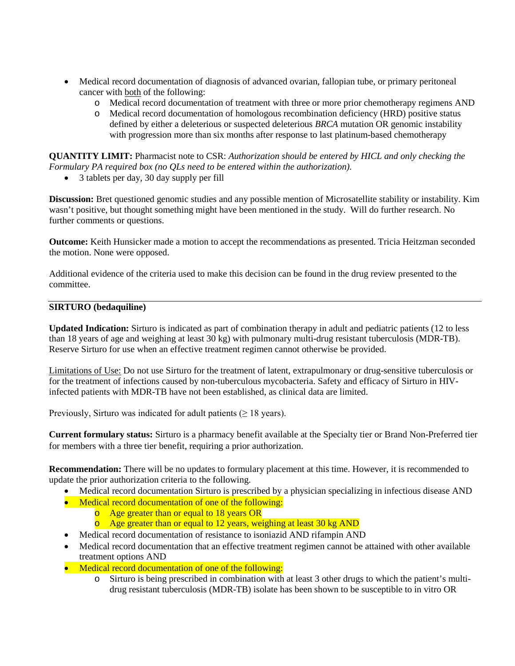- Medical record documentation of diagnosis of advanced ovarian, fallopian tube, or primary peritoneal cancer with both of the following:
	- o Medical record documentation of treatment with three or more prior chemotherapy regimens AND
	- o Medical record documentation of homologous recombination deficiency (HRD) positive status defined by either a deleterious or suspected deleterious *BRCA* mutation OR genomic instability with progression more than six months after response to last platinum-based chemotherapy

**QUANTITY LIMIT:** Pharmacist note to CSR: *Authorization should be entered by HICL and only checking the Formulary PA required box (no QLs need to be entered within the authorization).*

• 3 tablets per day, 30 day supply per fill

**Discussion:** Bret questioned genomic studies and any possible mention of Microsatellite stability or instability. Kim wasn't positive, but thought something might have been mentioned in the study. Will do further research. No further comments or questions.

**Outcome:** Keith Hunsicker made a motion to accept the recommendations as presented. Tricia Heitzman seconded the motion. None were opposed.

Additional evidence of the criteria used to make this decision can be found in the drug review presented to the committee.

# **SIRTURO (bedaquiline)**

**Updated Indication:** Sirturo is indicated as part of combination therapy in adult and pediatric patients (12 to less than 18 years of age and weighing at least 30 kg) with pulmonary multi-drug resistant tuberculosis (MDR-TB). Reserve Sirturo for use when an effective treatment regimen cannot otherwise be provided.

Limitations of Use: Do not use Sirturo for the treatment of latent, extrapulmonary or drug-sensitive tuberculosis or for the treatment of infections caused by non-tuberculous mycobacteria. Safety and efficacy of Sirturo in HIVinfected patients with MDR-TB have not been established, as clinical data are limited.

Previously, Sirturo was indicated for adult patients  $(≥ 18 \text{ years}).$ 

**Current formulary status:** Sirturo is a pharmacy benefit available at the Specialty tier or Brand Non-Preferred tier for members with a three tier benefit, requiring a prior authorization.

**Recommendation:** There will be no updates to formulary placement at this time. However, it is recommended to update the prior authorization criteria to the following.

- Medical record documentation Sirturo is prescribed by a physician specializing in infectious disease AND
- Medical record documentation of one of the following:
	- o Age greater than or equal to 18 years OR
	- o Age greater than or equal to 12 years, weighing at least 30 kg AND
- Medical record documentation of resistance to isoniazid AND rifampin AND
- Medical record documentation that an effective treatment regimen cannot be attained with other available treatment options AND
- Medical record documentation of one of the following:
	- o Sirturo is being prescribed in combination with at least 3 other drugs to which the patient's multidrug resistant tuberculosis (MDR-TB) isolate has been shown to be susceptible to in vitro OR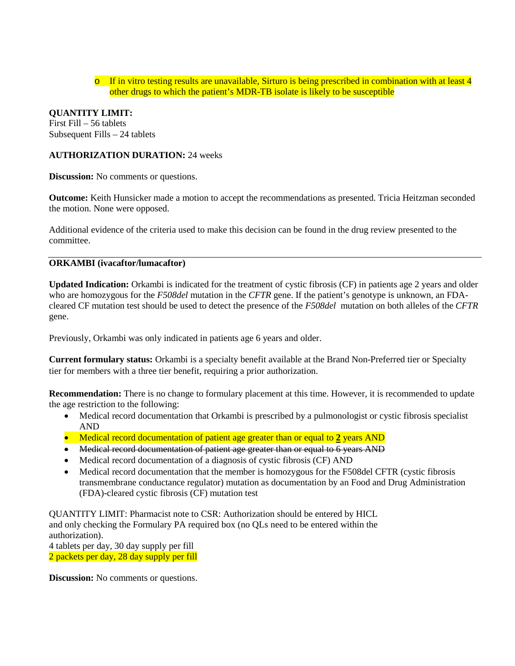$\circ$  If in vitro testing results are unavailable. Sirturo is being prescribed in combination with at least 4 other drugs to which the patient's MDR-TB isolate is likely to be susceptible

# **QUANTITY LIMIT:**

First Fill – 56 tablets Subsequent Fills – 24 tablets

#### **AUTHORIZATION DURATION:** 24 weeks

**Discussion:** No comments or questions.

**Outcome:** Keith Hunsicker made a motion to accept the recommendations as presented. Tricia Heitzman seconded the motion. None were opposed.

Additional evidence of the criteria used to make this decision can be found in the drug review presented to the committee.

# **ORKAMBI (ivacaftor/lumacaftor)**

**Updated Indication:** Orkambi is indicated for the treatment of cystic fibrosis (CF) in patients age 2 years and older who are homozygous for the *F508del* mutation in the *CFTR* gene. If the patient's genotype is unknown, an FDAcleared CF mutation test should be used to detect the presence of the *F508del* mutation on both alleles of the *CFTR*  gene.

Previously, Orkambi was only indicated in patients age 6 years and older.

**Current formulary status:** Orkambi is a specialty benefit available at the Brand Non-Preferred tier or Specialty tier for members with a three tier benefit, requiring a prior authorization.

**Recommendation:** There is no change to formulary placement at this time. However, it is recommended to update the age restriction to the following:

- Medical record documentation that Orkambi is prescribed by a pulmonologist or cystic fibrosis specialist AND
- Medical record documentation of patient age greater than or equal to 2 years AND
- Medical record documentation of patient age greater than or equal to 6 years AND
- Medical record documentation of a diagnosis of cystic fibrosis (CF) AND
- Medical record documentation that the member is homozygous for the F508del CFTR (cystic fibrosis transmembrane conductance regulator) mutation as documentation by an Food and Drug Administration (FDA)-cleared cystic fibrosis (CF) mutation test

QUANTITY LIMIT: Pharmacist note to CSR: Authorization should be entered by HICL and only checking the Formulary PA required box (no QLs need to be entered within the authorization). 4 tablets per day, 30 day supply per fill

2 packets per day, 28 day supply per fill

**Discussion:** No comments or questions.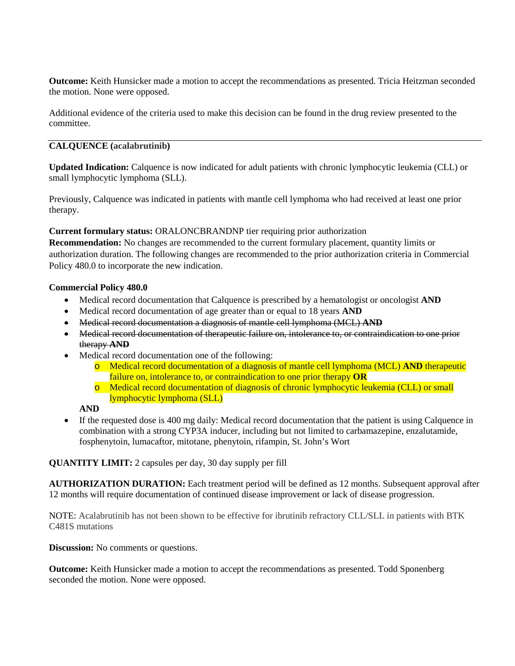**Outcome:** Keith Hunsicker made a motion to accept the recommendations as presented. Tricia Heitzman seconded the motion. None were opposed.

Additional evidence of the criteria used to make this decision can be found in the drug review presented to the committee.

# **CALQUENCE (acalabrutinib)**

**Updated Indication:** Calquence is now indicated for adult patients with chronic lymphocytic leukemia (CLL) or small lymphocytic lymphoma (SLL).

Previously, Calquence was indicated in patients with mantle cell lymphoma who had received at least one prior therapy.

### **Current formulary status:** ORALONCBRANDNP tier requiring prior authorization

**Recommendation:** No changes are recommended to the current formulary placement, quantity limits or authorization duration. The following changes are recommended to the prior authorization criteria in Commercial Policy 480.0 to incorporate the new indication.

#### **Commercial Policy 480.0**

- Medical record documentation that Calquence is prescribed by a hematologist or oncologist **AND**
- Medical record documentation of age greater than or equal to 18 years **AND**
- Medical record documentation a diagnosis of mantle cell lymphoma (MCL) **AND**
- Medical record documentation of therapeutic failure on, intolerance to, or contraindication to one prior therapy **AND**
- Medical record documentation one of the following:
	- o Medical record documentation of a diagnosis of mantle cell lymphoma (MCL) **AND** therapeutic failure on, intolerance to, or contraindication to one prior therapy **OR**
	- o Medical record documentation of diagnosis of chronic lymphocytic leukemia (CLL) or small lymphocytic lymphoma (SLL)

**AND**

• If the requested dose is 400 mg daily: Medical record documentation that the patient is using Calquence in combination with a strong CYP3A inducer, including but not limited to carbamazepine, enzalutamide, fosphenytoin, lumacaftor, mitotane, phenytoin, rifampin, St. John's Wort

**QUANTITY LIMIT:** 2 capsules per day, 30 day supply per fill

**AUTHORIZATION DURATION:** Each treatment period will be defined as 12 months. Subsequent approval after 12 months will require documentation of continued disease improvement or lack of disease progression.

NOTE: Acalabrutinib has not been shown to be effective for ibrutinib refractory CLL/SLL in patients with BTK C481S mutations

### **Discussion:** No comments or questions.

**Outcome:** Keith Hunsicker made a motion to accept the recommendations as presented. Todd Sponenberg seconded the motion. None were opposed.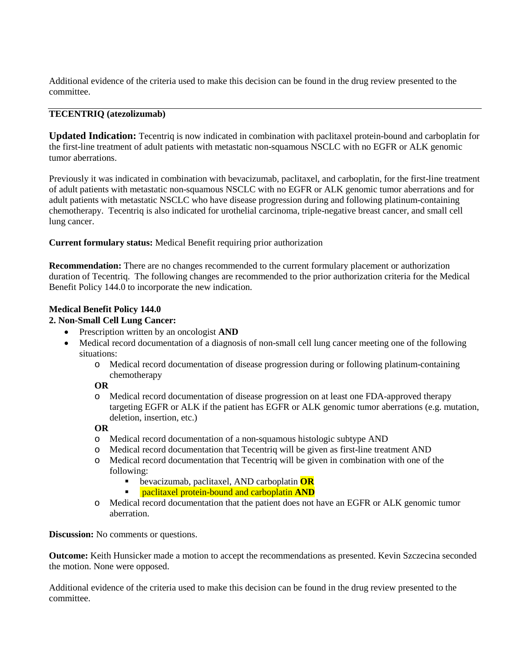Additional evidence of the criteria used to make this decision can be found in the drug review presented to the committee.

## **TECENTRIQ (atezolizumab)**

**Updated Indication:** Tecentriq is now indicated in combination with paclitaxel protein-bound and carboplatin for the first-line treatment of adult patients with metastatic non-squamous NSCLC with no EGFR or ALK genomic tumor aberrations.

Previously it was indicated in combination with bevacizumab, paclitaxel, and carboplatin, for the first-line treatment of adult patients with metastatic non-squamous NSCLC with no EGFR or ALK genomic tumor aberrations and for adult patients with metastatic NSCLC who have disease progression during and following platinum-containing chemotherapy. Tecentriq is also indicated for urothelial carcinoma, triple-negative breast cancer, and small cell lung cancer.

**Current formulary status:** Medical Benefit requiring prior authorization

**Recommendation:** There are no changes recommended to the current formulary placement or authorization duration of Tecentriq. The following changes are recommended to the prior authorization criteria for the Medical Benefit Policy 144.0 to incorporate the new indication.

# **Medical Benefit Policy 144.0**

# **2. Non-Small Cell Lung Cancer:**

- Prescription written by an oncologist **AND**
- Medical record documentation of a diagnosis of non-small cell lung cancer meeting one of the following situations:
	- o Medical record documentation of disease progression during or following platinum-containing chemotherapy

### **OR**

o Medical record documentation of disease progression on at least one FDA-approved therapy targeting EGFR or ALK if the patient has EGFR or ALK genomic tumor aberrations (e.g. mutation, deletion, insertion, etc.)

### **OR**

- o Medical record documentation of a non-squamous histologic subtype AND
- o Medical record documentation that Tecentriq will be given as first-line treatment AND
- o Medical record documentation that Tecentriq will be given in combination with one of the following:
	- bevacizumab, paclitaxel, AND carboplatin **OR**
	- paclitaxel protein-bound and carboplatin **AND**
- o Medical record documentation that the patient does not have an EGFR or ALK genomic tumor aberration.

**Discussion:** No comments or questions.

**Outcome:** Keith Hunsicker made a motion to accept the recommendations as presented. Kevin Szczecina seconded the motion. None were opposed.

Additional evidence of the criteria used to make this decision can be found in the drug review presented to the committee.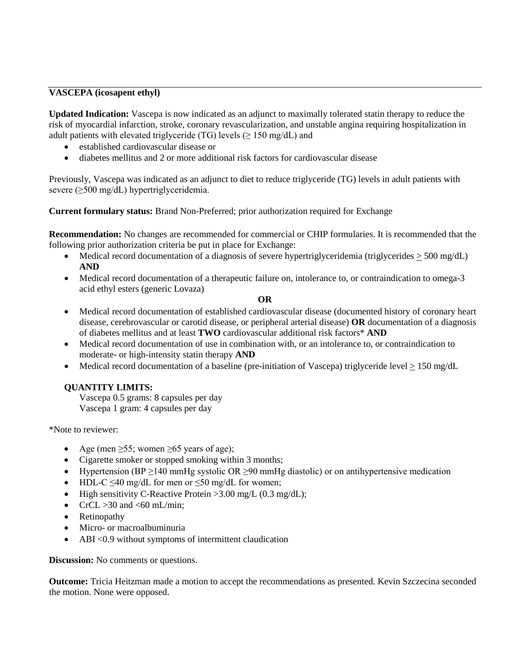# **VASCEPA (icosapent ethyl)**

**Updated Indication:** Vascepa is now indicated as an adjunct to maximally tolerated statin therapy to reduce the risk of myocardial infarction, stroke, coronary revascularization, and unstable angina requiring hospitalization in adult patients with elevated triglyceride (TG) levels  $(\geq 150 \text{ mg/dL})$  and

- established cardiovascular disease or
- diabetes mellitus and 2 or more additional risk factors for cardiovascular disease

Previously, Vascepa was indicated as an adjunct to diet to reduce triglyceride (TG) levels in adult patients with severe (≥500 mg/dL) hypertriglyceridemia.

**Current formulary status:** Brand Non-Preferred; prior authorization required for Exchange

**Recommendation:** No changes are recommended for commercial or CHIP formularies. It is recommended that the following prior authorization criteria be put in place for Exchange:

- Medical record documentation of a diagnosis of severe hypertriglyceridemia (triglycerides  $>$  500 mg/dL) **AND**
- Medical record documentation of a therapeutic failure on, intolerance to, or contraindication to omega-3 acid ethyl esters (generic Lovaza)

#### **OR**

- Medical record documentation of established cardiovascular disease (documented history of coronary heart disease, cerebrovascular or carotid disease, or peripheral arterial disease) **OR** documentation of a diagnosis of diabetes mellitus and at least **TWO** cardiovascular additional risk factors\* **AND**
- Medical record documentation of use in combination with, or an intolerance to, or contraindication to moderate- or high-intensity statin therapy **AND**
- Medical record documentation of a baseline (pre-initiation of Vascepa) triglyceride level > 150 mg/dL

# **QUANTITY LIMITS:**

Vascepa 0.5 grams: 8 capsules per day Vascepa 1 gram: 4 capsules per day

\*Note to reviewer:

- Age (men  $\geq 55$ ; women  $\geq 65$  years of age);
- Cigarette smoker or stopped smoking within 3 months;
- Hypertension (BP  $\geq$ 140 mmHg systolic OR  $\geq$ 90 mmHg diastolic) or on antihypertensive medication
- HDL-C  $\leq 40$  mg/dL for men or  $\leq 50$  mg/dL for women;
- High sensitivity C-Reactive Protein > 3.00 mg/L (0.3 mg/dL);
- CrCL  $>30$  and  $< 60$  mL/min;
- Retinopathy
- Micro- or macroalbuminuria
- ABI <0.9 without symptoms of intermittent claudication

**Discussion:** No comments or questions.

**Outcome:** Tricia Heitzman made a motion to accept the recommendations as presented. Kevin Szczecina seconded the motion. None were opposed.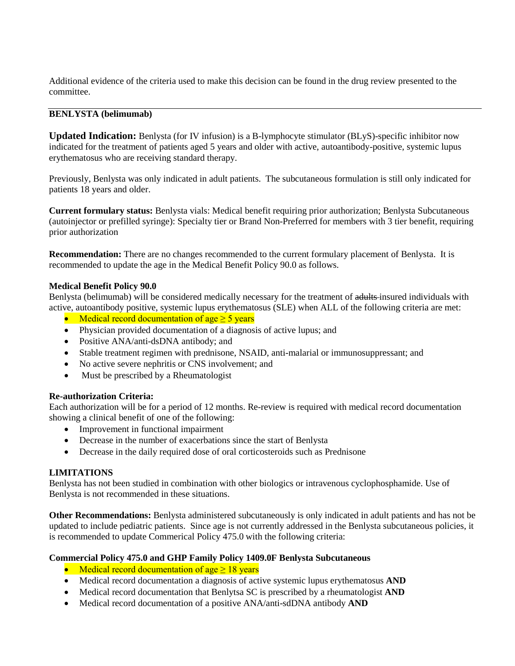Additional evidence of the criteria used to make this decision can be found in the drug review presented to the committee.

### **BENLYSTA (belimumab)**

**Updated Indication:** Benlysta (for IV infusion) is a B-lymphocyte stimulator (BLyS)-specific inhibitor now indicated for the treatment of patients aged 5 years and older with active, autoantibody-positive, systemic lupus erythematosus who are receiving standard therapy.

Previously, Benlysta was only indicated in adult patients. The subcutaneous formulation is still only indicated for patients 18 years and older.

**Current formulary status:** Benlysta vials: Medical benefit requiring prior authorization; Benlysta Subcutaneous (autoinjector or prefilled syringe): Specialty tier or Brand Non-Preferred for members with 3 tier benefit, requiring prior authorization

**Recommendation:** There are no changes recommended to the current formulary placement of Benlysta. It is recommended to update the age in the Medical Benefit Policy 90.0 as follows.

### **Medical Benefit Policy 90.0**

Benlysta (belimumab) will be considered medically necessary for the treatment of adults-insured individuals with active, autoantibody positive, systemic lupus erythematosus (SLE) when ALL of the following criteria are met:

- Medical record documentation of age  $\geq$  5 years
- Physician provided documentation of a diagnosis of active lupus; and
- Positive ANA/anti-dsDNA antibody; and
- Stable treatment regimen with prednisone, NSAID, anti-malarial or immunosuppressant; and
- No active severe nephritis or CNS involvement; and
- Must be prescribed by a Rheumatologist

### **Re-authorization Criteria:**

Each authorization will be for a period of 12 months. Re-review is required with medical record documentation showing a clinical benefit of one of the following:

- Improvement in functional impairment
- Decrease in the number of exacerbations since the start of Benlysta
- Decrease in the daily required dose of oral corticosteroids such as Prednisone

### **LIMITATIONS**

Benlysta has not been studied in combination with other biologics or intravenous cyclophosphamide. Use of Benlysta is not recommended in these situations.

**Other Recommendations:** Benlysta administered subcutaneously is only indicated in adult patients and has not be updated to include pediatric patients. Since age is not currently addressed in the Benlysta subcutaneous policies, it is recommended to update Commerical Policy 475.0 with the following criteria:

### **Commercial Policy 475.0 and GHP Family Policy 1409.0F Benlysta Subcutaneous**

- Medical record documentation of age  $\geq 18$  years
- Medical record documentation a diagnosis of active systemic lupus erythematosus **AND**
- Medical record documentation that Benlytsa SC is prescribed by a rheumatologist **AND**
- Medical record documentation of a positive ANA/anti-sdDNA antibody **AND**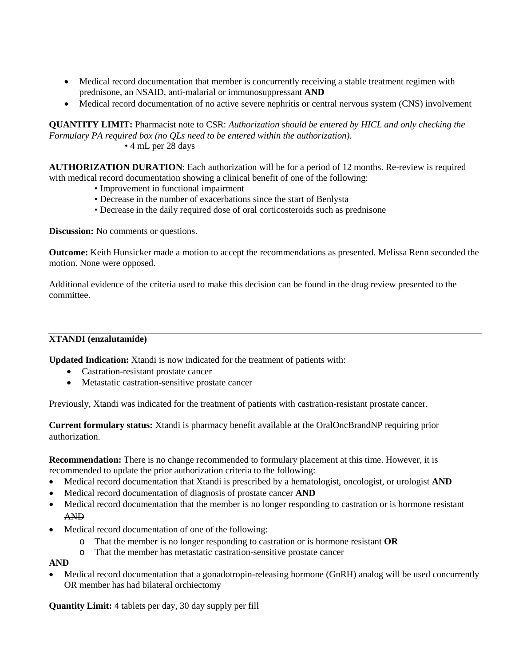- Medical record documentation that member is concurrently receiving a stable treatment regimen with prednisone, an NSAID, anti-malarial or immunosuppressant **AND**
- Medical record documentation of no active severe nephritis or central nervous system (CNS) involvement

**QUANTITY LIMIT:** Pharmacist note to CSR: *Authorization should be entered by HICL and only checking the Formulary PA required box (no QLs need to be entered within the authorization).*  • 4 mL per 28 days

**AUTHORIZATION DURATION**: Each authorization will be for a period of 12 months. Re-review is required with medical record documentation showing a clinical benefit of one of the following:

- Improvement in functional impairment
- Decrease in the number of exacerbations since the start of Benlysta
- Decrease in the daily required dose of oral corticosteroids such as prednisone

**Discussion:** No comments or questions.

**Outcome:** Keith Hunsicker made a motion to accept the recommendations as presented. Melissa Renn seconded the motion. None were opposed.

Additional evidence of the criteria used to make this decision can be found in the drug review presented to the committee.

### **XTANDI (enzalutamide)**

**Updated Indication:** Xtandi is now indicated for the treatment of patients with:

- Castration-resistant prostate cancer
- Metastatic castration-sensitive prostate cancer

Previously, Xtandi was indicated for the treatment of patients with castration-resistant prostate cancer.

**Current formulary status:** Xtandi is pharmacy benefit available at the OralOncBrandNP requiring prior authorization.

**Recommendation:** There is no change recommended to formulary placement at this time. However, it is recommended to update the prior authorization criteria to the following:

- Medical record documentation that Xtandi is prescribed by a hematologist, oncologist, or urologist **AND**
- Medical record documentation of diagnosis of prostate cancer **AND**
- Medical record documentation that the member is no longer responding to castration or is hormone resistant AND
- Medical record documentation of one of the following:
	- o That the member is no longer responding to castration or is hormone resistant **OR**
	- o That the member has metastatic castration-sensitive prostate cancer

### **AND**

• Medical record documentation that a gonadotropin-releasing hormone (GnRH) analog will be used concurrently OR member has had bilateral orchiectomy

**Quantity Limit:** 4 tablets per day, 30 day supply per fill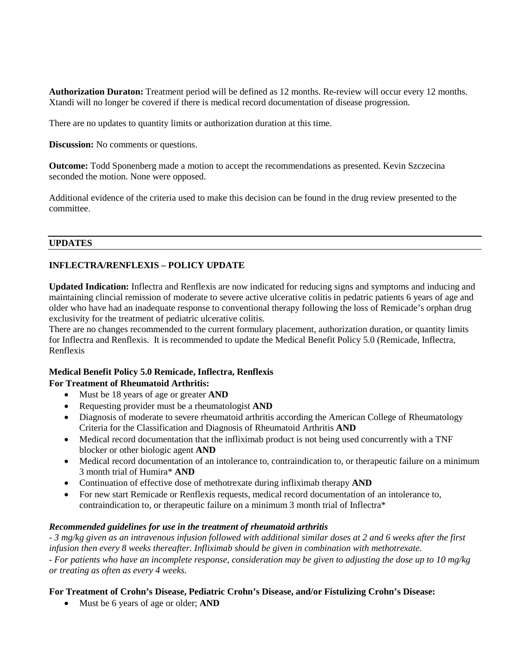**Authorization Duraton:** Treatment period will be defined as 12 months. Re-review will occur every 12 months. Xtandi will no longer be covered if there is medical record documentation of disease progression.

There are no updates to quantity limits or authorization duration at this time.

**Discussion:** No comments or questions.

**Outcome:** Todd Sponenberg made a motion to accept the recommendations as presented. Kevin Szczecina seconded the motion. None were opposed.

Additional evidence of the criteria used to make this decision can be found in the drug review presented to the committee.

### **UPDATES**

# **INFLECTRA/RENFLEXIS – POLICY UPDATE**

**Updated Indication:** Inflectra and Renflexis are now indicated for reducing signs and symptoms and inducing and maintaining clincial remission of moderate to severe active ulcerative colitis in pedatric patients 6 years of age and older who have had an inadequate response to conventional therapy following the loss of Remicade's orphan drug exclusivity for the treatment of pediatric ulcerative colitis.

There are no changes recommended to the current formulary placement, authorization duration, or quantity limits for Inflectra and Renflexis. It is recommended to update the Medical Benefit Policy 5.0 (Remicade, Inflectra, Renflexis

# **Medical Benefit Policy 5.0 Remicade, Inflectra, Renflexis**

# **For Treatment of Rheumatoid Arthritis:**

- Must be 18 years of age or greater **AND**
- Requesting provider must be a rheumatologist **AND**
- Diagnosis of moderate to severe rheumatoid arthritis according the American College of Rheumatology Criteria for the Classification and Diagnosis of Rheumatoid Arthritis **AND**
- Medical record documentation that the infliximab product is not being used concurrently with a TNF blocker or other biologic agent **AND**
- Medical record documentation of an intolerance to, contraindication to, or therapeutic failure on a minimum 3 month trial of Humira\* **AND**
- Continuation of effective dose of methotrexate during infliximab therapy **AND**
- For new start Remicade or Renflexis requests, medical record documentation of an intolerance to, contraindication to, or therapeutic failure on a minimum 3 month trial of Inflectra\*

### *Recommended guidelines for use in the treatment of rheumatoid arthritis*

- *3 mg/kg given as an intravenous infusion followed with additional similar doses at 2 and 6 weeks after the first infusion then every 8 weeks thereafter. Infliximab should be given in combination with methotrexate.* 

- *For patients who have an incomplete response, consideration may be given to adjusting the dose up to 10 mg/kg or treating as often as every 4 weeks.* 

## **For Treatment of Crohn's Disease, Pediatric Crohn's Disease, and/or Fistulizing Crohn's Disease:**

• Must be 6 years of age or older; **AND**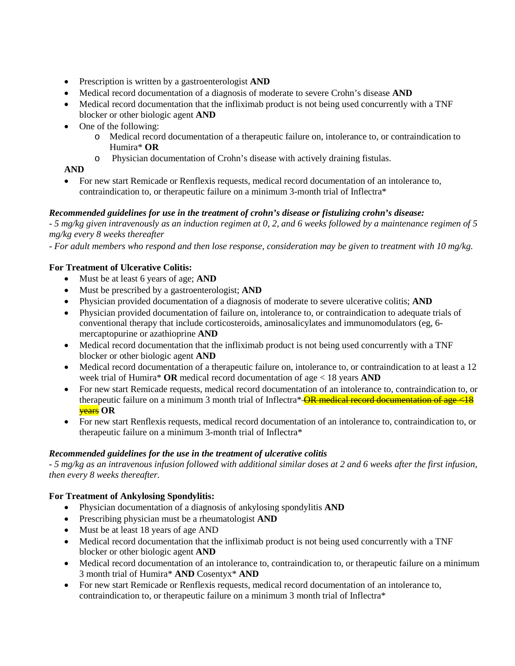- Prescription is written by a gastroenterologist **AND**
- Medical record documentation of a diagnosis of moderate to severe Crohn's disease **AND**
- Medical record documentation that the infliximab product is not being used concurrently with a TNF blocker or other biologic agent **AND**
- One of the following:
	- o Medical record documentation of a therapeutic failure on, intolerance to, or contraindication to Humira\* **OR**
	- o Physician documentation of Crohn's disease with actively draining fistulas.

**AND** 

• For new start Remicade or Renflexis requests, medical record documentation of an intolerance to, contraindication to, or therapeutic failure on a minimum 3-month trial of Inflectra\*

# *Recommended guidelines for use in the treatment of crohn's disease or fistulizing crohn's disease:*

- *5 mg/kg given intravenously as an induction regimen at 0, 2, and 6 weeks followed by a maintenance regimen of 5 mg/kg every 8 weeks thereafter* 

- *For adult members who respond and then lose response, consideration may be given to treatment with 10 mg/kg.* 

# **For Treatment of Ulcerative Colitis:**

- Must be at least 6 years of age; **AND**
- Must be prescribed by a gastroenterologist; **AND**
- Physician provided documentation of a diagnosis of moderate to severe ulcerative colitis; **AND**
- Physician provided documentation of failure on, intolerance to, or contraindication to adequate trials of conventional therapy that include corticosteroids, aminosalicylates and immunomodulators (eg, 6 mercaptopurine or azathioprine **AND**
- Medical record documentation that the infliximab product is not being used concurrently with a TNF blocker or other biologic agent **AND**
- Medical record documentation of a therapeutic failure on, intolerance to, or contraindication to at least a 12 week trial of Humira\* **OR** medical record documentation of age < 18 years **AND**
- For new start Remicade requests, medical record documentation of an intolerance to, contraindication to, or therapeutic failure on a minimum 3 month trial of Inflectra\*  $\overline{\text{OR}}$  medical record documentation of age <18 years **OR**
- For new start Renflexis requests, medical record documentation of an intolerance to, contraindication to, or therapeutic failure on a minimum 3-month trial of Inflectra\*

# *Recommended guidelines for the use in the treatment of ulcerative colitis*

- *5 mg/kg as an intravenous infusion followed with additional similar doses at 2 and 6 weeks after the first infusion, then every 8 weeks thereafter.* 

# **For Treatment of Ankylosing Spondylitis:**

- Physician documentation of a diagnosis of ankylosing spondylitis **AND**
- Prescribing physician must be a rheumatologist **AND**
- Must be at least 18 years of age AND
- Medical record documentation that the infliximab product is not being used concurrently with a TNF blocker or other biologic agent **AND**
- Medical record documentation of an intolerance to, contraindication to, or therapeutic failure on a minimum 3 month trial of Humira\* **AND** Cosentyx\* **AND**
- For new start Remicade or Renflexis requests, medical record documentation of an intolerance to, contraindication to, or therapeutic failure on a minimum 3 month trial of Inflectra\*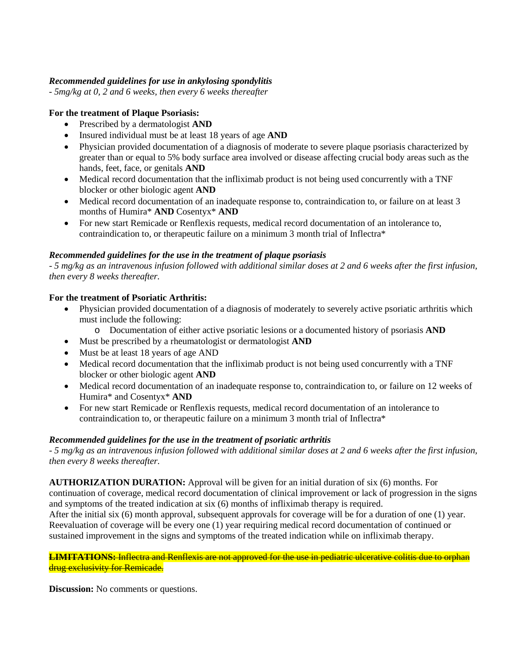# *Recommended guidelines for use in ankylosing spondylitis*

- *5mg/kg at 0, 2 and 6 weeks, then every 6 weeks thereafter* 

# **For the treatment of Plaque Psoriasis:**

- Prescribed by a dermatologist **AND**
- Insured individual must be at least 18 years of age **AND**
- Physician provided documentation of a diagnosis of moderate to severe plaque psoriasis characterized by greater than or equal to 5% body surface area involved or disease affecting crucial body areas such as the hands, feet, face, or genitals **AND**
- Medical record documentation that the infliximab product is not being used concurrently with a TNF blocker or other biologic agent **AND**
- Medical record documentation of an inadequate response to, contraindication to, or failure on at least 3 months of Humira\* **AND** Cosentyx\* **AND**
- For new start Remicade or Renflexis requests, medical record documentation of an intolerance to, contraindication to, or therapeutic failure on a minimum 3 month trial of Inflectra\*

# *Recommended guidelines for the use in the treatment of plaque psoriasis*

- *5 mg/kg as an intravenous infusion followed with additional similar doses at 2 and 6 weeks after the first infusion, then every 8 weeks thereafter.* 

# **For the treatment of Psoriatic Arthritis:**

- Physician provided documentation of a diagnosis of moderately to severely active psoriatic arthritis which must include the following:
	- o Documentation of either active psoriatic lesions or a documented history of psoriasis **AND**
- Must be prescribed by a rheumatologist or dermatologist **AND**
- Must be at least 18 years of age AND
- Medical record documentation that the infliximab product is not being used concurrently with a TNF blocker or other biologic agent **AND**
- Medical record documentation of an inadequate response to, contraindication to, or failure on 12 weeks of Humira\* and Cosentyx\* **AND**
- For new start Remicade or Renflexis requests, medical record documentation of an intolerance to contraindication to, or therapeutic failure on a minimum 3 month trial of Inflectra\*

### *Recommended guidelines for the use in the treatment of psoriatic arthritis*

- *5 mg/kg as an intravenous infusion followed with additional similar doses at 2 and 6 weeks after the first infusion, then every 8 weeks thereafter.* 

**AUTHORIZATION DURATION:** Approval will be given for an initial duration of six (6) months. For continuation of coverage, medical record documentation of clinical improvement or lack of progression in the signs and symptoms of the treated indication at six (6) months of infliximab therapy is required.

After the initial six (6) month approval, subsequent approvals for coverage will be for a duration of one (1) year. Reevaluation of coverage will be every one (1) year requiring medical record documentation of continued or sustained improvement in the signs and symptoms of the treated indication while on infliximab therapy.

#### **LIMITATIONS:** Inflectra and Renflexis are not approved for the use in pediatric ulcerative colitis due to orphan drug exclusivity for Remicade.

**Discussion:** No comments or questions.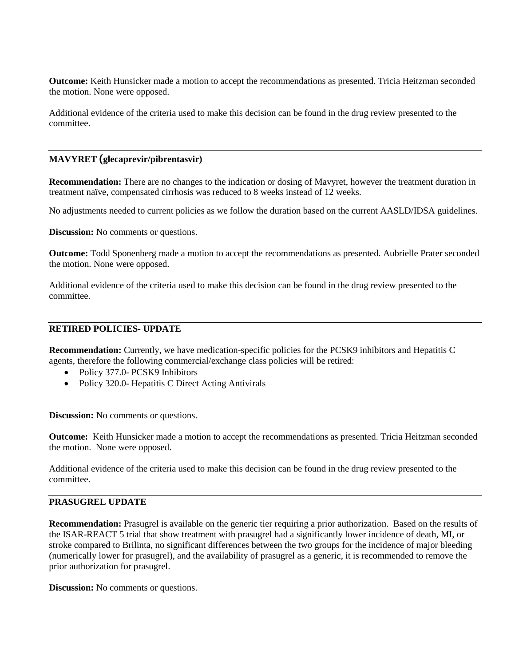**Outcome:** Keith Hunsicker made a motion to accept the recommendations as presented. Tricia Heitzman seconded the motion. None were opposed.

Additional evidence of the criteria used to make this decision can be found in the drug review presented to the committee.

#### **MAVYRET (glecaprevir/pibrentasvir)**

**Recommendation:** There are no changes to the indication or dosing of Mavyret, however the treatment duration in treatment naïve, compensated cirrhosis was reduced to 8 weeks instead of 12 weeks.

No adjustments needed to current policies as we follow the duration based on the current AASLD/IDSA guidelines.

**Discussion:** No comments or questions.

**Outcome:** Todd Sponenberg made a motion to accept the recommendations as presented. Aubrielle Prater seconded the motion. None were opposed.

Additional evidence of the criteria used to make this decision can be found in the drug review presented to the committee.

### **RETIRED POLICIES- UPDATE**

**Recommendation:** Currently, we have medication-specific policies for the PCSK9 inhibitors and Hepatitis C agents, therefore the following commercial/exchange class policies will be retired:

- Policy 377.0- PCSK9 Inhibitors
- Policy 320.0- Hepatitis C Direct Acting Antivirals

**Discussion:** No comments or questions.

**Outcome:** Keith Hunsicker made a motion to accept the recommendations as presented. Tricia Heitzman seconded the motion. None were opposed.

Additional evidence of the criteria used to make this decision can be found in the drug review presented to the committee.

# **PRASUGREL UPDATE**

**Recommendation:** Prasugrel is available on the generic tier requiring a prior authorization. Based on the results of the ISAR-REACT 5 trial that show treatment with prasugrel had a significantly lower incidence of death, MI, or stroke compared to Brilinta, no significant differences between the two groups for the incidence of major bleeding (numerically lower for prasugrel), and the availability of prasugrel as a generic, it is recommended to remove the prior authorization for prasugrel.

**Discussion:** No comments or questions.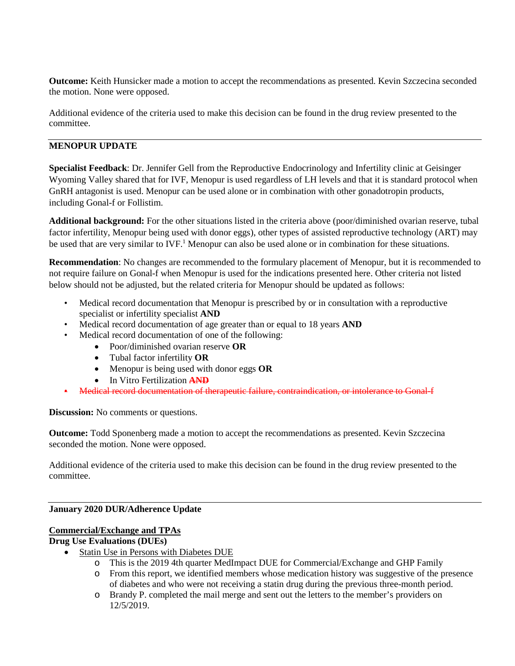**Outcome:** Keith Hunsicker made a motion to accept the recommendations as presented. Kevin Szczecina seconded the motion. None were opposed.

Additional evidence of the criteria used to make this decision can be found in the drug review presented to the committee.

# **MENOPUR UPDATE**

**Specialist Feedback**: Dr. Jennifer Gell from the Reproductive Endocrinology and Infertility clinic at Geisinger Wyoming Valley shared that for IVF, Menopur is used regardless of LH levels and that it is standard protocol when GnRH antagonist is used. Menopur can be used alone or in combination with other gonadotropin products, including Gonal-f or Follistim.

**Additional background:** For the other situations listed in the criteria above (poor/diminished ovarian reserve, tubal factor infertility, Menopur being used with donor eggs), other types of assisted reproductive technology (ART) may be used that are very similar to IVF.<sup>1</sup> Menopur can also be used alone or in combination for these situations.

**Recommendation**: No changes are recommended to the formulary placement of Menopur, but it is recommended to not require failure on Gonal-f when Menopur is used for the indications presented here. Other criteria not listed below should not be adjusted, but the related criteria for Menopur should be updated as follows:

- Medical record documentation that Menopur is prescribed by or in consultation with a reproductive specialist or infertility specialist **AND**
- Medical record documentation of age greater than or equal to 18 years **AND**
- Medical record documentation of one of the following:
	- Poor/diminished ovarian reserve **OR**
	- Tubal factor infertility **OR**
	- Menopur is being used with donor eggs **OR**
	- In Vitro Fertilization **AND**
- Medical record documentation of therapeutic failure, contraindication, or intolerance to Gonal-f

**Discussion:** No comments or questions.

**Outcome:** Todd Sponenberg made a motion to accept the recommendations as presented. Kevin Szczecina seconded the motion. None were opposed.

Additional evidence of the criteria used to make this decision can be found in the drug review presented to the committee.

## **January 2020 DUR/Adherence Update**

# **Commercial/Exchange and TPAs**

### **Drug Use Evaluations (DUEs)**

- Statin Use in Persons with Diabetes DUE
	- o This is the 2019 4th quarter MedImpact DUE for Commercial/Exchange and GHP Family
	- o From this report, we identified members whose medication history was suggestive of the presence of diabetes and who were not receiving a statin drug during the previous three-month period.
	- o Brandy P. completed the mail merge and sent out the letters to the member's providers on 12/5/2019.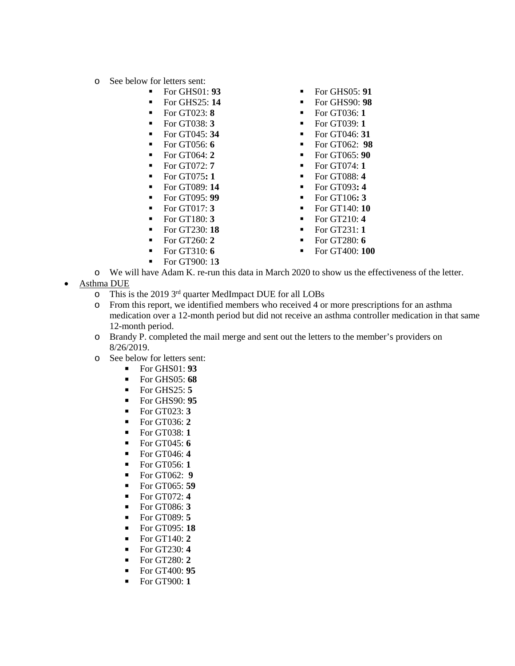- o See below for letters sent:<br>For GHS01
	- - For GHS25: **14** For GHS90: **98**
		- For GT023: **8** For GT036: **1**
		- For GT038: **3** For GT039: **1**
		-
		-
		-
		- For GT072: **7** For GT074: **1**
		- For GT075**: 1** For GT088: **4**
	-
	-
	-
	-
	-
	-
	-
	- For GT900: 1**3**
- For GHS01: **93** For GHS05: **91**
	-
	-
	-
- For GT045: **34** For GT046: **31**
- For GT056: **6** For GT062: **98**
- For GT064: **2** For GT065: **90**
	-
	-
- For GT089: **14** For GT093**: 4**
- For GT095: **99** For GT106**: 3**
- For GT017: **3** For GT140: **10**
- For GT180: **3** For GT210: **4**
- For GT230: **18** For GT231: **1**
- For GT260: **2** For GT280: **6**
- For GT310: **6** For GT400: **100**
- o We will have Adam K. re-run this data in March 2020 to show us the effectiveness of the letter.
- Asthma DUE
	- o This is the 2019  $3<sup>rd</sup>$  quarter MedImpact DUE for all LOBs<br>o From this report, we identified members who received 4 or
	- From this report, we identified members who received 4 or more prescriptions for an asthma medication over a 12-month period but did not receive an asthma controller medication in that same 12-month period.
	- o Brandy P. completed the mail merge and sent out the letters to the member's providers on 8/26/2019.
	- $\circ$  See below for letters sent:<br> $\bullet$  For GHS01: **93** 
		- For GHS01: **93**
			- For GHS05: **68**
			- $\blacksquare$  For GHS25:  $\mathbf{5}$
			- For GHS90: **95**
			- For GT023: **3**
			- For GT036: **2**
			- For GT038: **1**
			- For GT045: **6**
			- For GT046: **4**
			- For GT056: **1**
			-
			- For GT062: **9**
			- For GT065: **59**
			- For GT072: **4**
			- For GT086: **3**
			- For GT089: **5**
			- For GT095: **18**
			- For GT140: **2**
			- For GT230: **4**
			- For GT280: **2**
			- For GT400: **95**
			- For GT900: **1**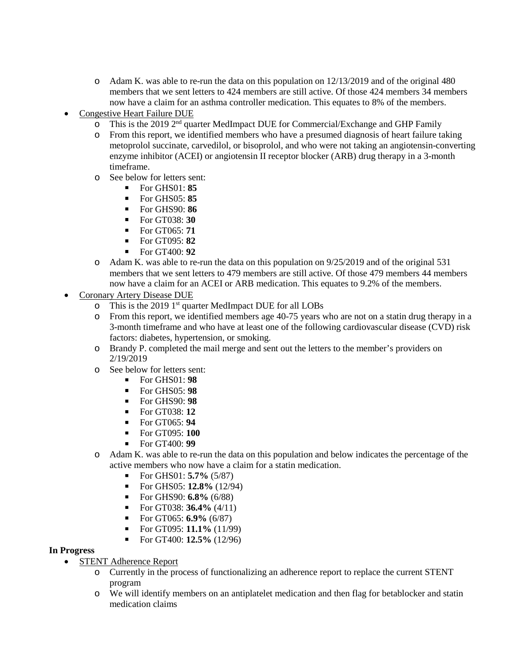- o Adam K. was able to re-run the data on this population on 12/13/2019 and of the original 480 members that we sent letters to 424 members are still active. Of those 424 members 34 members now have a claim for an asthma controller medication. This equates to 8% of the members.
- Congestive Heart Failure DUE
	- o This is the 2019 2nd quarter MedImpact DUE for Commercial/Exchange and GHP Family
	- o From this report, we identified members who have a presumed diagnosis of heart failure taking metoprolol succinate, carvedilol, or bisoprolol, and who were not taking an angiotensin-converting enzyme inhibitor (ACEI) or angiotensin II receptor blocker (ARB) drug therapy in a 3-month timeframe.
	- o See below for letters sent:
		- For GHS01: **85**
		- For GHS05: **85**
		- For GHS90: **86**
		- For GT038: **30**
		- For GT065: **71**
		- For GT095: **82**
		- For GT400: **92**
	- o Adam K. was able to re-run the data on this population on 9/25/2019 and of the original 531 members that we sent letters to 479 members are still active. Of those 479 members 44 members now have a claim for an ACEI or ARB medication. This equates to 9.2% of the members.
- Coronary Artery Disease DUE
	- o This is the 2019 1<sup>st</sup> quarter MedImpact DUE for all LOBs<br>
	o From this report, we identified members age 40-75 years
	- From this report, we identified members age 40-75 years who are not on a statin drug therapy in a 3-month timeframe and who have at least one of the following cardiovascular disease (CVD) risk factors: diabetes, hypertension, or smoking.
	- o Brandy P. completed the mail merge and sent out the letters to the member's providers on 2/19/2019
	- o See below for letters sent:
		- For GHS01: **98**
		- For GHS05: **98**
		- For GHS90: **98**
		- For GT038: **12**
		- For GT065: **94**
		- For GT095: **100**
		- For GT400: **99**
	- o Adam K. was able to re-run the data on this population and below indicates the percentage of the active members who now have a claim for a statin medication.
		- For GHS01: **5.7%** (5/87)
		- For GHS05: **12.8%** (12/94)
		- For GHS90: **6.8%** (6/88)
		- For GT038: **36.4%** (4/11)
		- For GT065: **6.9%** (6/87)
		- For GT095: **11.1%** (11/99)
		- For GT400: **12.5%** (12/96)

### **In Progress**

- STENT Adherence Report
	- o Currently in the process of functionalizing an adherence report to replace the current STENT program
	- o We will identify members on an antiplatelet medication and then flag for betablocker and statin medication claims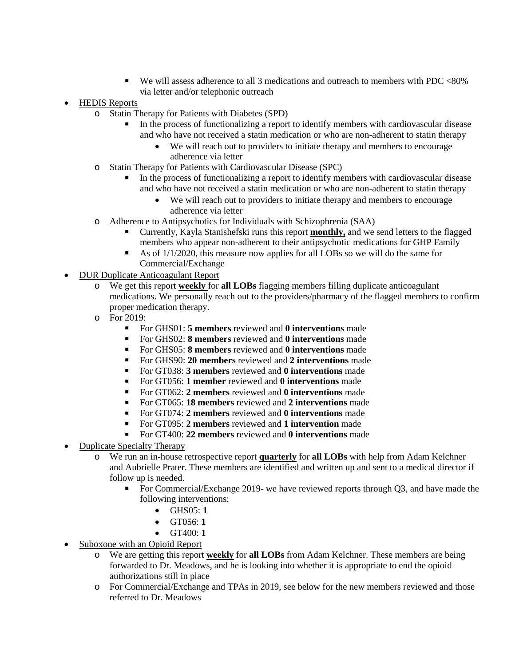We will assess adherence to all 3 medications and outreach to members with PDC <80% via letter and/or telephonic outreach

# • HEDIS Reports

- o Statin Therapy for Patients with Diabetes (SPD)
	- In the process of functionalizing a report to identify members with cardiovascular disease and who have not received a statin medication or who are non-adherent to statin therapy
		- We will reach out to providers to initiate therapy and members to encourage adherence via letter
- o Statin Therapy for Patients with Cardiovascular Disease (SPC)
	- In the process of functionalizing a report to identify members with cardiovascular disease and who have not received a statin medication or who are non-adherent to statin therapy
		- We will reach out to providers to initiate therapy and members to encourage adherence via letter
- o Adherence to Antipsychotics for Individuals with Schizophrenia (SAA)
	- Currently, Kayla Stanishefski runs this report **monthly,** and we send letters to the flagged members who appear non-adherent to their antipsychotic medications for GHP Family
	- As of  $1/1/2020$ , this measure now applies for all LOBs so we will do the same for Commercial/Exchange
- DUR Duplicate Anticoagulant Report
	- o We get this report **weekly** for **all LOBs** flagging members filling duplicate anticoagulant medications. We personally reach out to the providers/pharmacy of the flagged members to confirm proper medication therapy.
	- o For 2019:
		- For GHS01: **5 members** reviewed and **0 interventions** made
		- For GHS02: **8 members** reviewed and **0 interventions** made
		- For GHS05: **8 members** reviewed and **0 interventions** made
		- For GHS90: **20 members** reviewed and **2 interventions** made
		- For GT038: **3 members** reviewed and **0 interventions** made
		- For GT056: **1 member** reviewed and **0 interventions** made
		- For GT062: **2 members** reviewed and **0 interventions** made
		- For GT065: **18 members** reviewed and **2 interventions** made
		- For GT074: **2 members** reviewed and **0 interventions** made
		- For GT095: **2 members** reviewed and **1 intervention** made
		- For GT400: **22 members** reviewed and **0 interventions** made
- Duplicate Specialty Therapy
	- o We run an in-house retrospective report **quarterly** for **all LOBs** with help from Adam Kelchner and Aubrielle Prater. These members are identified and written up and sent to a medical director if follow up is needed.
		- For Commercial/Exchange 2019- we have reviewed reports through O3, and have made the following interventions:
			- GHS05: **1**
			- GT056: **1**
			- GT400: **1**
- Suboxone with an Opioid Report
	- o We are getting this report **weekly** for **all LOBs** from Adam Kelchner. These members are being forwarded to Dr. Meadows, and he is looking into whether it is appropriate to end the opioid authorizations still in place
	- o For Commercial/Exchange and TPAs in 2019, see below for the new members reviewed and those referred to Dr. Meadows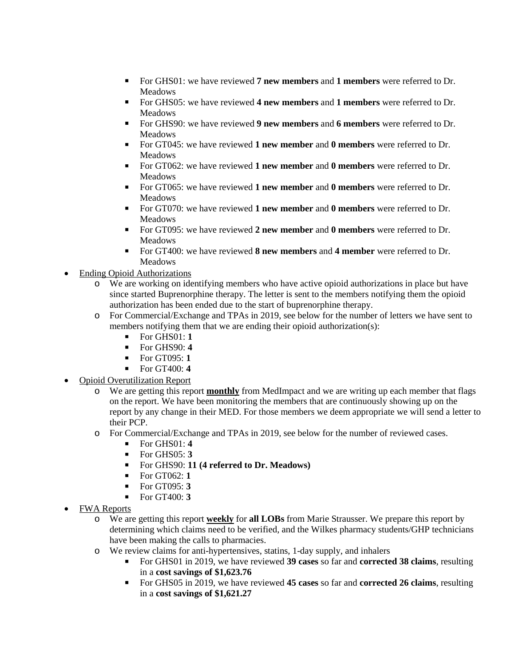- For GHS01: we have reviewed **7 new members** and **1 members** were referred to Dr. Meadows
- For GHS05: we have reviewed **4 new members** and **1 members** were referred to Dr. Meadows
- For GHS90: we have reviewed **9 new members** and **6 members** were referred to Dr. Meadows
- For GT045: we have reviewed **1 new member** and **0 members** were referred to Dr. Meadows
- For GT062: we have reviewed **1 new member** and **0 members** were referred to Dr. Meadows
- For GT065: we have reviewed **1 new member** and **0 members** were referred to Dr. Meadows
- For GT070: we have reviewed **1 new member** and **0 members** were referred to Dr. Meadows
- For GT095: we have reviewed **2 new member** and **0 members** were referred to Dr. Meadows
- For GT400: we have reviewed **8 new members** and **4 member** were referred to Dr. Meadows
- Ending Opioid Authorizations
	- o We are working on identifying members who have active opioid authorizations in place but have since started Buprenorphine therapy. The letter is sent to the members notifying them the opioid authorization has been ended due to the start of buprenorphine therapy.
	- o For Commercial/Exchange and TPAs in 2019, see below for the number of letters we have sent to members notifying them that we are ending their opioid authorization(s):
		- For GHS01: **1**
		- For GHS90: **4**
		- For GT095: **1**
		- For GT400: **4**
- Opioid Overutilization Report
	- o We are getting this report **monthly** from MedImpact and we are writing up each member that flags on the report. We have been monitoring the members that are continuously showing up on the report by any change in their MED. For those members we deem appropriate we will send a letter to their PCP.
	- o For Commercial/Exchange and TPAs in 2019, see below for the number of reviewed cases.
		- $\blacksquare$  For GHS01: 4
		- For GHS05: **3**
		- For GHS90: **11 (4 referred to Dr. Meadows)**
		- For GT062: **1**
		- For GT095: **3**
		- $\blacksquare$  For GT400: **3**
- FWA Reports
	- o We are getting this report **weekly** for **all LOBs** from Marie Strausser. We prepare this report by determining which claims need to be verified, and the Wilkes pharmacy students/GHP technicians have been making the calls to pharmacies.
	- o We review claims for anti-hypertensives, statins, 1-day supply, and inhalers
		- For GHS01 in 2019, we have reviewed **39 cases** so far and **corrected 38 claims**, resulting in a **cost savings of \$1,623.76**
		- For GHS05 in 2019, we have reviewed **45 cases** so far and **corrected 26 claims**, resulting in a **cost savings of \$1,621.27**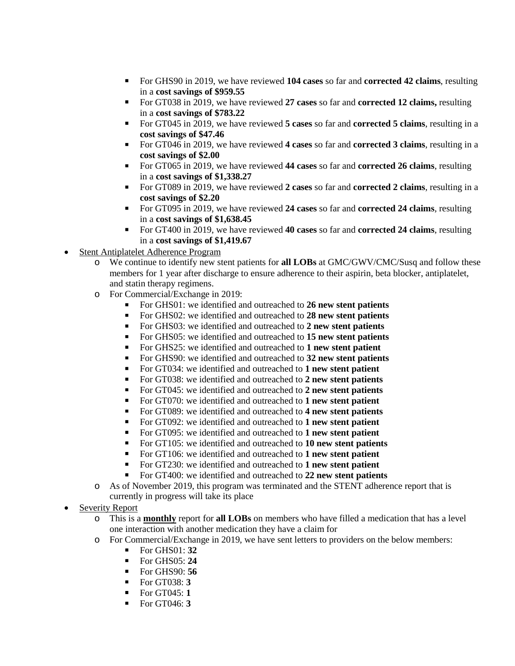- For GHS90 in 2019, we have reviewed **104 cases** so far and **corrected 42 claims**, resulting in a **cost savings of \$959.55**
- For GT038 in 2019, we have reviewed **27 cases** so far and **corrected 12 claims,** resulting in a **cost savings of \$783.22**
- For GT045 in 2019, we have reviewed **5 cases** so far and **corrected 5 claims**, resulting in a **cost savings of \$47.46**
- For GT046 in 2019, we have reviewed **4 cases** so far and **corrected 3 claims**, resulting in a **cost savings of \$2.00**
- For GT065 in 2019, we have reviewed **44 cases** so far and **corrected 26 claims**, resulting in a **cost savings of \$1,338.27**
- For GT089 in 2019, we have reviewed **2 cases** so far and **corrected 2 claims**, resulting in a **cost savings of \$2.20**
- For GT095 in 2019, we have reviewed **24 cases** so far and **corrected 24 claims**, resulting in a **cost savings of \$1,638.45**
- For GT400 in 2019, we have reviewed **40 cases** so far and **corrected 24 claims**, resulting in a **cost savings of \$1,419.67**
- Stent Antiplatelet Adherence Program
	- o We continue to identify new stent patients for **all LOBs** at GMC/GWV/CMC/Susq and follow these members for 1 year after discharge to ensure adherence to their aspirin, beta blocker, antiplatelet, and statin therapy regimens.
	- o For Commercial/Exchange in 2019:
		- For GHS01: we identified and outreached to **26 new stent patients**
		- For GHS02: we identified and outreached to **28 new stent patients**
		- For GHS03: we identified and outreached to **2 new stent patients**
		- For GHS05: we identified and outreached to **15 new stent patients**
		- For GHS25: we identified and outreached to **1 new stent patient**
		- For GHS90: we identified and outreached to **32 new stent patients**
		- For GT034: we identified and outreached to **1 new stent patient**
		- For GT038: we identified and outreached to **2 new stent patients**
		- For GT045: we identified and outreached to **2 new stent patients**
		- For GT070: we identified and outreached to **1 new stent patient**
		- For GT089: we identified and outreached to **4 new stent patients**
		- For GT092: we identified and outreached to **1 new stent patient**
		- For GT095: we identified and outreached to **1 new stent patient**
		- For GT105: we identified and outreached to **10 new stent patients**
		- For GT106: we identified and outreached to **1 new stent patient**
		- For GT230: we identified and outreached to **1 new stent patient**
		- For GT400: we identified and outreached to **22 new stent patients**
	- o As of November 2019, this program was terminated and the STENT adherence report that is currently in progress will take its place
- **Severity Report** 
	- o This is a **monthly** report for **all LOBs** on members who have filled a medication that has a level one interaction with another medication they have a claim for
	- o For Commercial/Exchange in 2019, we have sent letters to providers on the below members:<br>  $\blacksquare$  For GHS01: 32
		- For GHS01: **32**
		- For GHS05: **24**
		- For GHS90: **56**
		- For GT038: **3**
		- For GT045: **1**
		- For GT046: **3**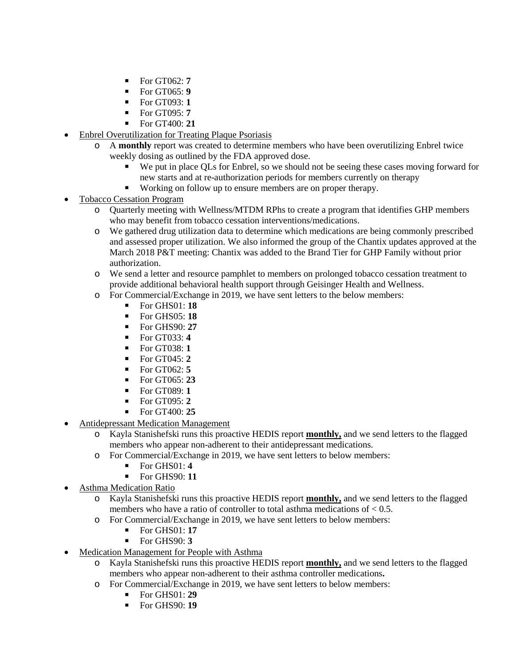- $\blacksquare$  For GT062: **7**
- For GT065: **9**
- For GT093: **1**
- For GT095: **7**
- For GT400: **21**
- Enbrel Overutilization for Treating Plaque Psoriasis
	- o A **monthly** report was created to determine members who have been overutilizing Enbrel twice weekly dosing as outlined by the FDA approved dose.
		- We put in place QLs for Enbrel, so we should not be seeing these cases moving forward for new starts and at re-authorization periods for members currently on therapy
		- Working on follow up to ensure members are on proper therapy.
- Tobacco Cessation Program
	- o Quarterly meeting with Wellness/MTDM RPhs to create a program that identifies GHP members who may benefit from tobacco cessation interventions/medications.
	- o We gathered drug utilization data to determine which medications are being commonly prescribed and assessed proper utilization. We also informed the group of the Chantix updates approved at the March 2018 P&T meeting: Chantix was added to the Brand Tier for GHP Family without prior authorization.
	- o We send a letter and resource pamphlet to members on prolonged tobacco cessation treatment to provide additional behavioral health support through Geisinger Health and Wellness.
	- o For Commercial/Exchange in 2019, we have sent letters to the below members:<br> $\blacksquare$  For GHS01: **18** 
		- For GHS01: **18**
		- For GHS05: **18**
		- For GHS90: **27**
		- For GT033: **4**
		- For GT038: **1**
		- For GT045: **2**
		- For GT062: **5**
		- For GT065: **23**
		- For GT089: **1**
		- For GT095: **2**
		- For GT400: **25**
- Antidepressant Medication Management
	- o Kayla Stanishefski runs this proactive HEDIS report **monthly,** and we send letters to the flagged members who appear non-adherent to their antidepressant medications.
	- o For Commercial/Exchange in 2019, we have sent letters to below members:
		- For GHS01: **4**
		- For GHS90: **11**
- Asthma Medication Ratio
	- o Kayla Stanishefski runs this proactive HEDIS report **monthly,** and we send letters to the flagged members who have a ratio of controller to total asthma medications of < 0.5.
	- o For Commercial/Exchange in 2019, we have sent letters to below members:
		- For GHS01: **17**
		- For GHS90: **3**
	- Medication Management for People with Asthma
		- o Kayla Stanishefski runs this proactive HEDIS report **monthly,** and we send letters to the flagged members who appear non-adherent to their asthma controller medications**.**
		- o For Commercial/Exchange in 2019, we have sent letters to below members:
			- For GHS01: **29**
			- For GHS90: **19**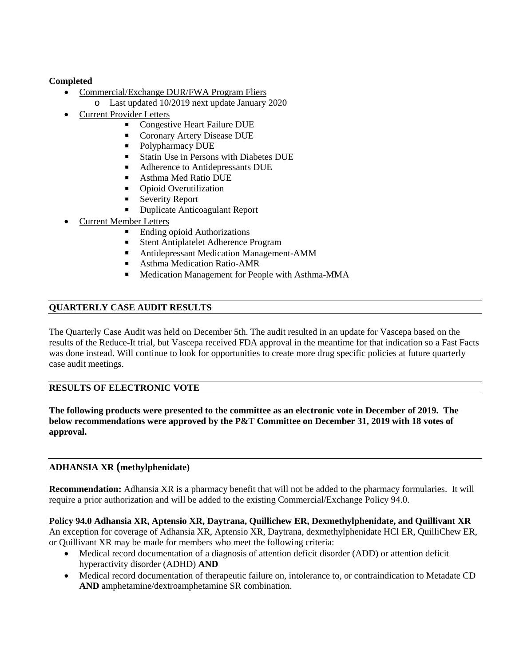# **Completed**

- Commercial/Exchange DUR/FWA Program Fliers
	- o Last updated 10/2019 next update January 2020
- Current Provider Letters
	- Congestive Heart Failure DUE
	- Coronary Artery Disease DUE
	- Polypharmacy DUE
	- Statin Use in Persons with Diabetes DUE
	- Adherence to Antidepressants DUE
	- Asthma Med Ratio DUE
	- Opioid Overutilization
	- Severity Report
	- Duplicate Anticoagulant Report
- **Current Member Letters** 
	- Ending opioid Authorizations
		- Stent Antiplatelet Adherence Program
	- Antidepressant Medication Management-AMM
	- **Asthma Medication Ratio-AMR**
	- **Medication Management for People with Asthma-MMA**

# **QUARTERLY CASE AUDIT RESULTS**

The Quarterly Case Audit was held on December 5th. The audit resulted in an update for Vascepa based on the results of the Reduce-It trial, but Vascepa received FDA approval in the meantime for that indication so a Fast Facts was done instead. Will continue to look for opportunities to create more drug specific policies at future quarterly case audit meetings.

# **RESULTS OF ELECTRONIC VOTE**

**The following products were presented to the committee as an electronic vote in December of 2019. The below recommendations were approved by the P&T Committee on December 31, 2019 with 18 votes of approval.**

# **ADHANSIA XR (methylphenidate)**

**Recommendation:** Adhansia XR is a pharmacy benefit that will not be added to the pharmacy formularies. It will require a prior authorization and will be added to the existing Commercial/Exchange Policy 94.0.

**Policy 94.0 Adhansia XR, Aptensio XR, Daytrana, Quillichew ER, Dexmethylphenidate, and Quillivant XR** An exception for coverage of Adhansia XR, Aptensio XR, Daytrana, dexmethylphenidate HCl ER, QuilliChew ER, or Quillivant XR may be made for members who meet the following criteria:

- Medical record documentation of a diagnosis of attention deficit disorder (ADD) or attention deficit hyperactivity disorder (ADHD) **AND**
- Medical record documentation of therapeutic failure on, intolerance to, or contraindication to Metadate CD **AND** amphetamine/dextroamphetamine SR combination.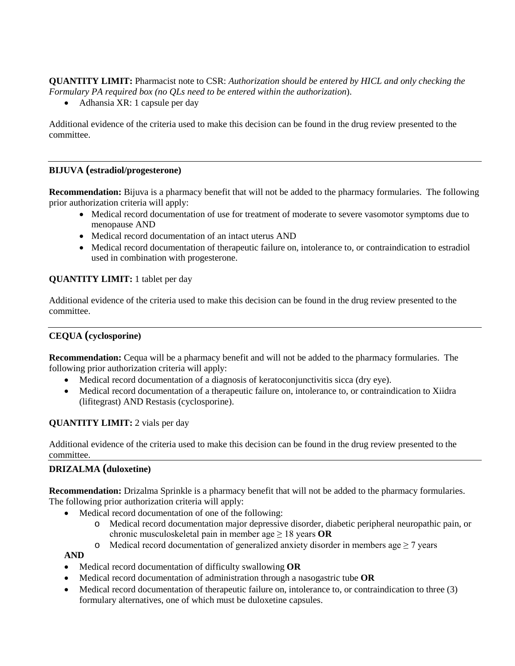**QUANTITY LIMIT:** Pharmacist note to CSR: *Authorization should be entered by HICL and only checking the Formulary PA required box (no QLs need to be entered within the authorization*).

• Adhansia XR: 1 capsule per day

Additional evidence of the criteria used to make this decision can be found in the drug review presented to the committee.

# **BIJUVA (estradiol/progesterone)**

**Recommendation:** Bijuva is a pharmacy benefit that will not be added to the pharmacy formularies. The following prior authorization criteria will apply:

- Medical record documentation of use for treatment of moderate to severe vasomotor symptoms due to menopause AND
- Medical record documentation of an intact uterus AND
- Medical record documentation of therapeutic failure on, intolerance to, or contraindication to estradiol used in combination with progesterone.

# **QUANTITY LIMIT:** 1 tablet per day

Additional evidence of the criteria used to make this decision can be found in the drug review presented to the committee.

# **CEQUA (cyclosporine)**

**Recommendation:** Cequa will be a pharmacy benefit and will not be added to the pharmacy formularies. The following prior authorization criteria will apply:

- Medical record documentation of a diagnosis of keratoconjunctivitis sicca (dry eye).
- Medical record documentation of a therapeutic failure on, intolerance to, or contraindication to Xiidra (lifitegrast) AND Restasis (cyclosporine).

# **QUANTITY LIMIT:** 2 vials per day

Additional evidence of the criteria used to make this decision can be found in the drug review presented to the committee.

# **DRIZALMA (duloxetine)**

**Recommendation:** Drizalma Sprinkle is a pharmacy benefit that will not be added to the pharmacy formularies. The following prior authorization criteria will apply:

- Medical record documentation of one of the following:
	- o Medical record documentation major depressive disorder, diabetic peripheral neuropathic pain, or chronic musculoskeletal pain in member age ≥ 18 years **OR**
	- o Medical record documentation of generalized anxiety disorder in members age  $\geq 7$  years

# **AND**

- Medical record documentation of difficulty swallowing **OR**
- Medical record documentation of administration through a nasogastric tube **OR**
- Medical record documentation of therapeutic failure on, intolerance to, or contraindication to three (3) formulary alternatives, one of which must be duloxetine capsules.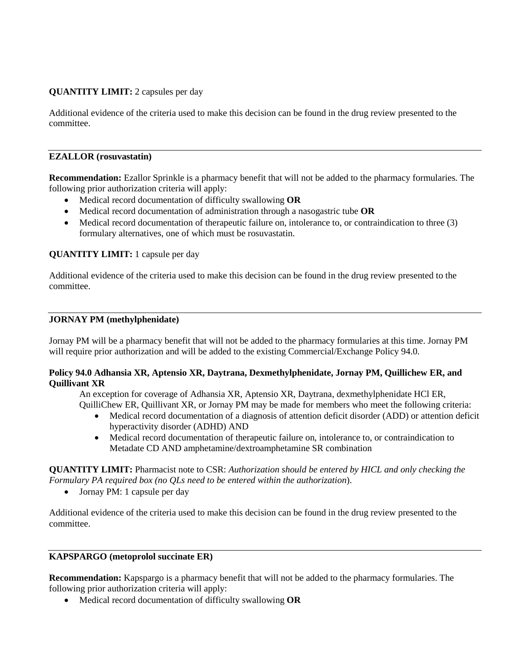# **QUANTITY LIMIT:** 2 capsules per day

Additional evidence of the criteria used to make this decision can be found in the drug review presented to the committee.

#### **EZALLOR (rosuvastatin)**

**Recommendation:** Ezallor Sprinkle is a pharmacy benefit that will not be added to the pharmacy formularies. The following prior authorization criteria will apply:

- Medical record documentation of difficulty swallowing **OR**
- Medical record documentation of administration through a nasogastric tube **OR**
- Medical record documentation of therapeutic failure on, intolerance to, or contraindication to three (3) formulary alternatives, one of which must be rosuvastatin.

# **QUANTITY LIMIT:** 1 capsule per day

Additional evidence of the criteria used to make this decision can be found in the drug review presented to the committee.

# **JORNAY PM (methylphenidate)**

Jornay PM will be a pharmacy benefit that will not be added to the pharmacy formularies at this time. Jornay PM will require prior authorization and will be added to the existing Commercial/Exchange Policy 94.0.

### **Policy 94.0 Adhansia XR, Aptensio XR, Daytrana, Dexmethylphenidate, Jornay PM, Quillichew ER, and Quillivant XR**

An exception for coverage of Adhansia XR, Aptensio XR, Daytrana, dexmethylphenidate HCl ER, QuilliChew ER, Quillivant XR, or Jornay PM may be made for members who meet the following criteria:

- Medical record documentation of a diagnosis of attention deficit disorder (ADD) or attention deficit hyperactivity disorder (ADHD) AND
- Medical record documentation of therapeutic failure on, intolerance to, or contraindication to Metadate CD AND amphetamine/dextroamphetamine SR combination

**QUANTITY LIMIT:** Pharmacist note to CSR: *Authorization should be entered by HICL and only checking the Formulary PA required box (no QLs need to be entered within the authorization*).

• Jornay PM: 1 capsule per day

Additional evidence of the criteria used to make this decision can be found in the drug review presented to the committee.

### **KAPSPARGO (metoprolol succinate ER)**

**Recommendation:** Kapspargo is a pharmacy benefit that will not be added to the pharmacy formularies. The following prior authorization criteria will apply:

• Medical record documentation of difficulty swallowing **OR**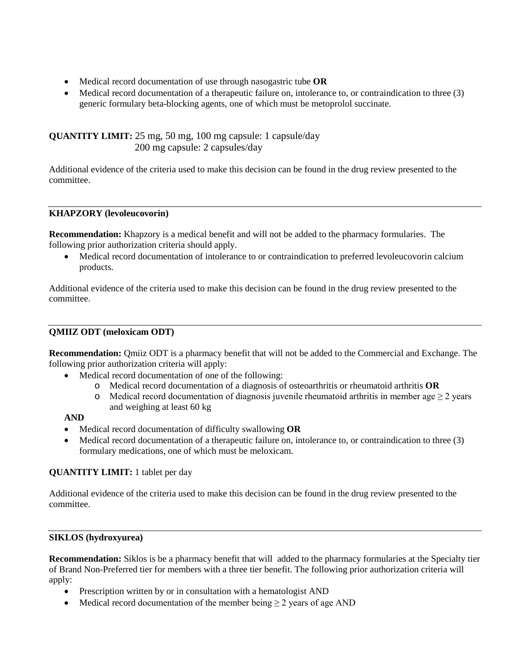- Medical record documentation of use through nasogastric tube **OR**
- Medical record documentation of a therapeutic failure on, intolerance to, or contraindication to three (3) generic formulary beta-blocking agents, one of which must be metoprolol succinate.

**QUANTITY LIMIT:** 25 mg, 50 mg, 100 mg capsule: 1 capsule/day 200 mg capsule: 2 capsules/day

Additional evidence of the criteria used to make this decision can be found in the drug review presented to the committee.

# **KHAPZORY (levoleucovorin)**

**Recommendation:** Khapzory is a medical benefit and will not be added to the pharmacy formularies. The following prior authorization criteria should apply.

• Medical record documentation of intolerance to or contraindication to preferred levoleucovorin calcium products.

Additional evidence of the criteria used to make this decision can be found in the drug review presented to the committee.

# **QMIIZ ODT (meloxicam ODT)**

**Recommendation:** Qmiiz ODT is a pharmacy benefit that will not be added to the Commercial and Exchange. The following prior authorization criteria will apply:

- Medical record documentation of one of the following:
	- o Medical record documentation of a diagnosis of osteoarthritis or rheumatoid arthritis **OR**
	- o Medical record documentation of diagnosis juvenile rheumatoid arthritis in member age  $\geq 2$  years and weighing at least 60 kg

### **AND**

- Medical record documentation of difficulty swallowing **OR**
- Medical record documentation of a therapeutic failure on, intolerance to, or contraindication to three (3) formulary medications, one of which must be meloxicam.

# **QUANTITY LIMIT:** 1 tablet per day

Additional evidence of the criteria used to make this decision can be found in the drug review presented to the committee.

### **SIKLOS (hydroxyurea)**

**Recommendation:** Siklos is be a pharmacy benefit that will added to the pharmacy formularies at the Specialty tier of Brand Non-Preferred tier for members with a three tier benefit. The following prior authorization criteria will apply:

- Prescription written by or in consultation with a hematologist AND
- Medical record documentation of the member being  $\geq 2$  years of age AND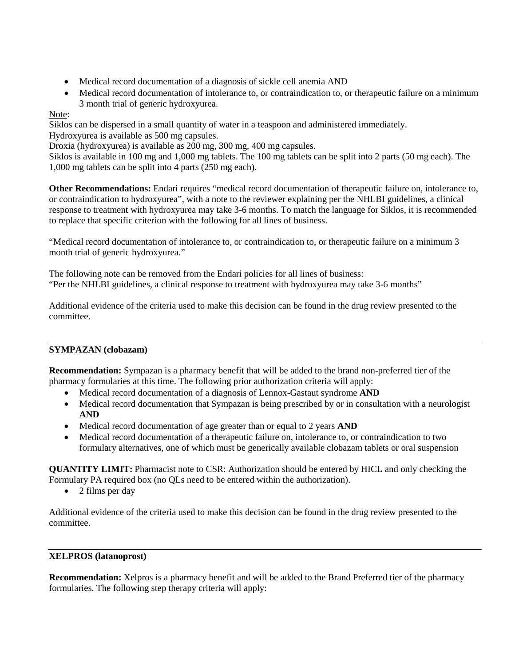- Medical record documentation of a diagnosis of sickle cell anemia AND
- Medical record documentation of intolerance to, or contraindication to, or therapeutic failure on a minimum 3 month trial of generic hydroxyurea.

# Note:

Siklos can be dispersed in a small quantity of water in a teaspoon and administered immediately.

Hydroxyurea is available as 500 mg capsules.

Droxia (hydroxyurea) is available as 200 mg, 300 mg, 400 mg capsules.

Siklos is available in 100 mg and 1,000 mg tablets. The 100 mg tablets can be split into 2 parts (50 mg each). The 1,000 mg tablets can be split into 4 parts (250 mg each).

**Other Recommendations:** Endari requires "medical record documentation of therapeutic failure on, intolerance to, or contraindication to hydroxyurea", with a note to the reviewer explaining per the NHLBI guidelines, a clinical response to treatment with hydroxyurea may take 3-6 months. To match the language for Siklos, it is recommended to replace that specific criterion with the following for all lines of business.

"Medical record documentation of intolerance to, or contraindication to, or therapeutic failure on a minimum 3 month trial of generic hydroxyurea."

The following note can be removed from the Endari policies for all lines of business: "Per the NHLBI guidelines, a clinical response to treatment with hydroxyurea may take 3-6 months"

Additional evidence of the criteria used to make this decision can be found in the drug review presented to the committee.

# **SYMPAZAN (clobazam)**

**Recommendation:** Sympazan is a pharmacy benefit that will be added to the brand non-preferred tier of the pharmacy formularies at this time. The following prior authorization criteria will apply:

- Medical record documentation of a diagnosis of Lennox-Gastaut syndrome **AND**
- Medical record documentation that Sympazan is being prescribed by or in consultation with a neurologist **AND**
- Medical record documentation of age greater than or equal to 2 years **AND**
- Medical record documentation of a therapeutic failure on, intolerance to, or contraindication to two formulary alternatives, one of which must be generically available clobazam tablets or oral suspension

**QUANTITY LIMIT:** Pharmacist note to CSR: Authorization should be entered by HICL and only checking the Formulary PA required box (no QLs need to be entered within the authorization).

• 2 films per day

Additional evidence of the criteria used to make this decision can be found in the drug review presented to the committee.

# **XELPROS (latanoprost)**

**Recommendation:** Xelpros is a pharmacy benefit and will be added to the Brand Preferred tier of the pharmacy formularies. The following step therapy criteria will apply: